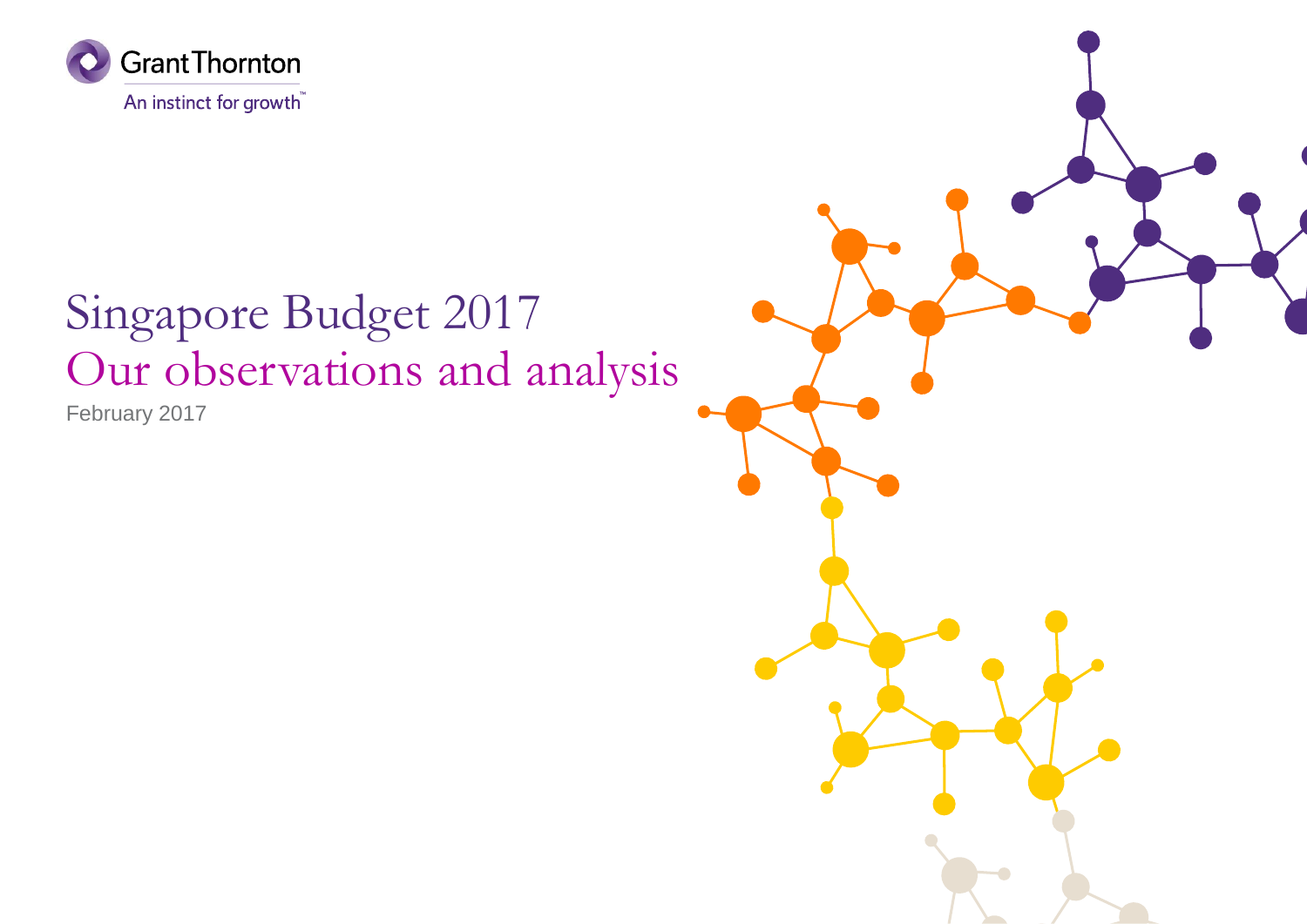

# Singapore Budget 2017 Our observations and analysis

February 2017

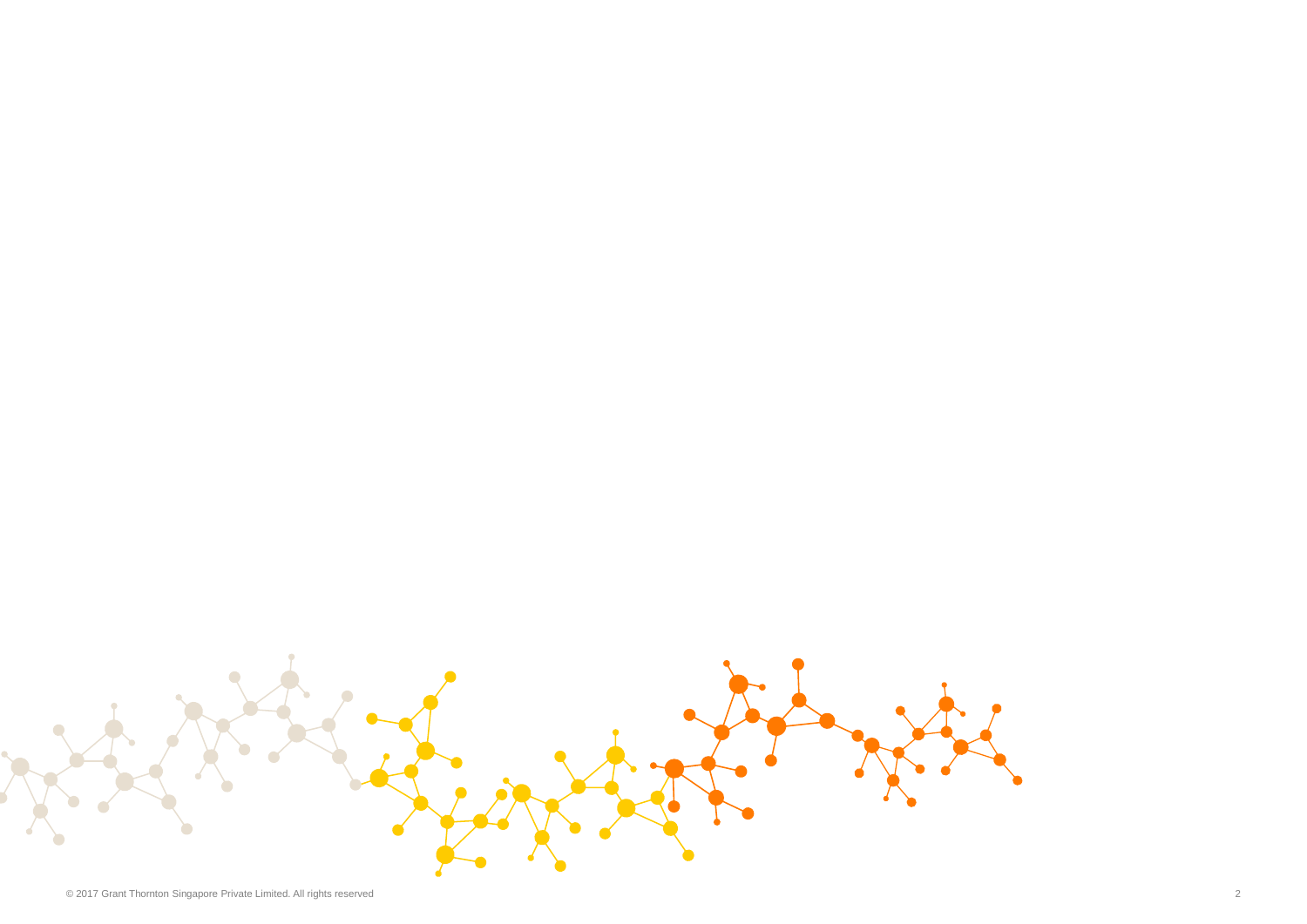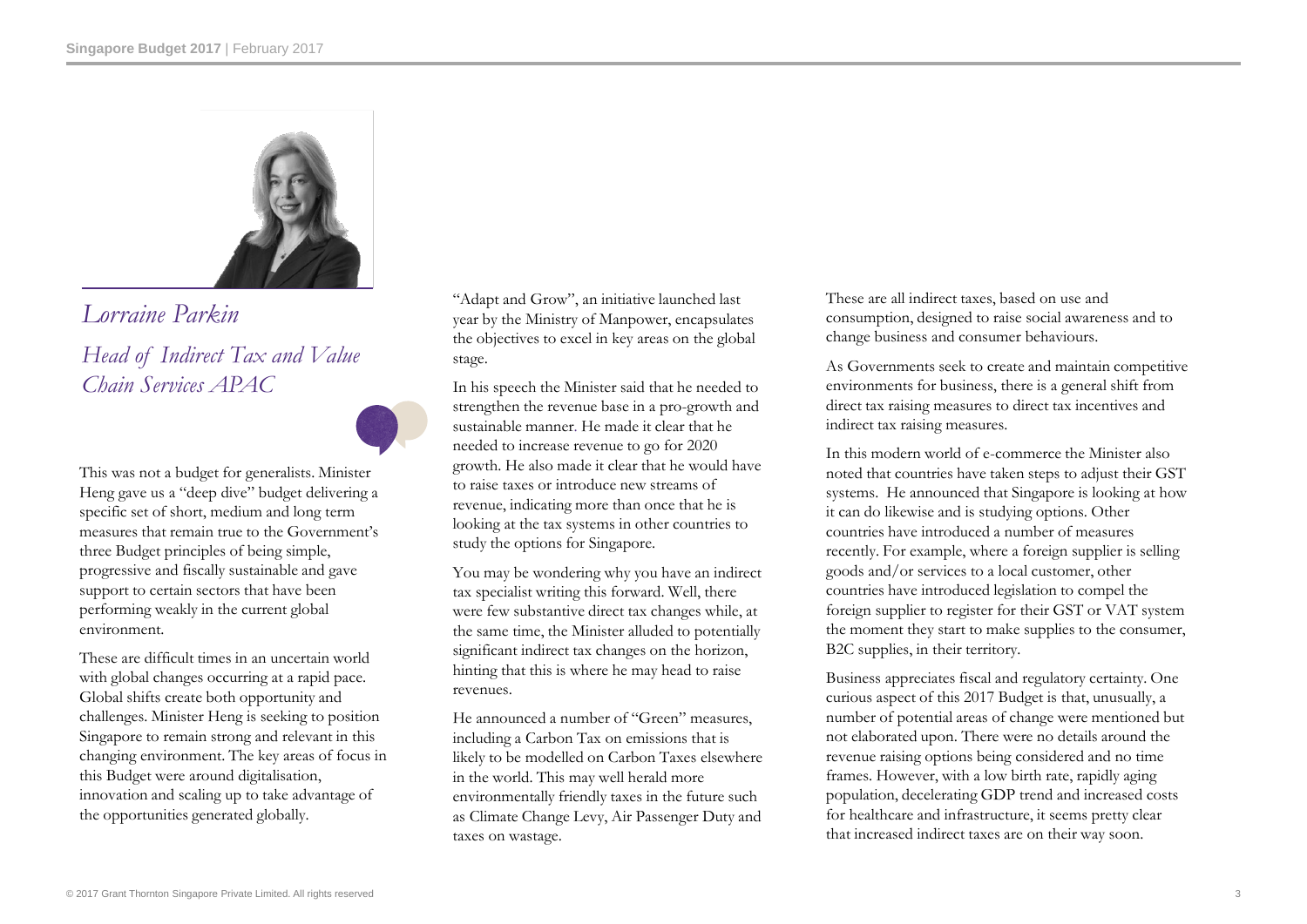

*Lorraine Parkin Head of Indirect Tax and Value Chain Services APAC*

This was not a budget for generalists. Minister Heng gave us a "deep dive" budget delivering a specific set of short, medium and long term measures that remain true to the Government's three Budget principles of being simple, progressive and fiscally sustainable and gave support to certain sectors that have been performing weakly in the current global environment.

These are difficult times in an uncertain world with global changes occurring at a rapid pace. Global shifts create both opportunity and challenges. Minister Heng is seeking to position Singapore to remain strong and relevant in this changing environment. The key areas of focus in this Budget were around digitalisation, innovation and scaling up to take advantage of the opportunities generated globally.

"Adapt and Grow", an initiative launched last year by the Ministry of Manpower, encapsulates the objectives to excel in key areas on the global stage.

In his speech the Minister said that he needed to strengthen the revenue base in a pro-growth and sustainable manner. He made it clear that he needed to increase revenue to go for 2020 growth. He also made it clear that he would have to raise taxes or introduce new streams of revenue, indicating more than once that he is looking at the tax systems in other countries to study the options for Singapore.

You may be wondering why you have an indirect tax specialist writing this forward. Well, there were few substantive direct tax changes while, at the same time, the Minister alluded to potentially significant indirect tax changes on the horizon, hinting that this is where he may head to raise revenues.

He announced a number of "Green" measures, including a Carbon Tax on emissions that is likely to be modelled on Carbon Taxes elsewhere in the world. This may well herald more environmentally friendly taxes in the future such as Climate Change Levy, Air Passenger Duty and taxes on wastage.

These are all indirect taxes, based on use and consumption, designed to raise social awareness and to change business and consumer behaviours.

As Governments seek to create and maintain competitive environments for business, there is a general shift from direct tax raising measures to direct tax incentives and indirect tax raising measures.

In this modern world of e-commerce the Minister also noted that countries have taken steps to adjust their GST systems. He announced that Singapore is looking at how it can do likewise and is studying options. Other countries have introduced a number of measures recently. For example, where a foreign supplier is selling goods and/or services to a local customer, other countries have introduced legislation to compel the foreign supplier to register for their GST or VAT system the moment they start to make supplies to the consumer, B2C supplies, in their territory.

Business appreciates fiscal and regulatory certainty. One curious aspect of this 2017 Budget is that, unusually, a number of potential areas of change were mentioned but not elaborated upon. There were no details around the revenue raising options being considered and no time frames. However, with a low birth rate, rapidly aging population, decelerating GDP trend and increased costs for healthcare and infrastructure, it seems pretty clear that increased indirect taxes are on their way soon.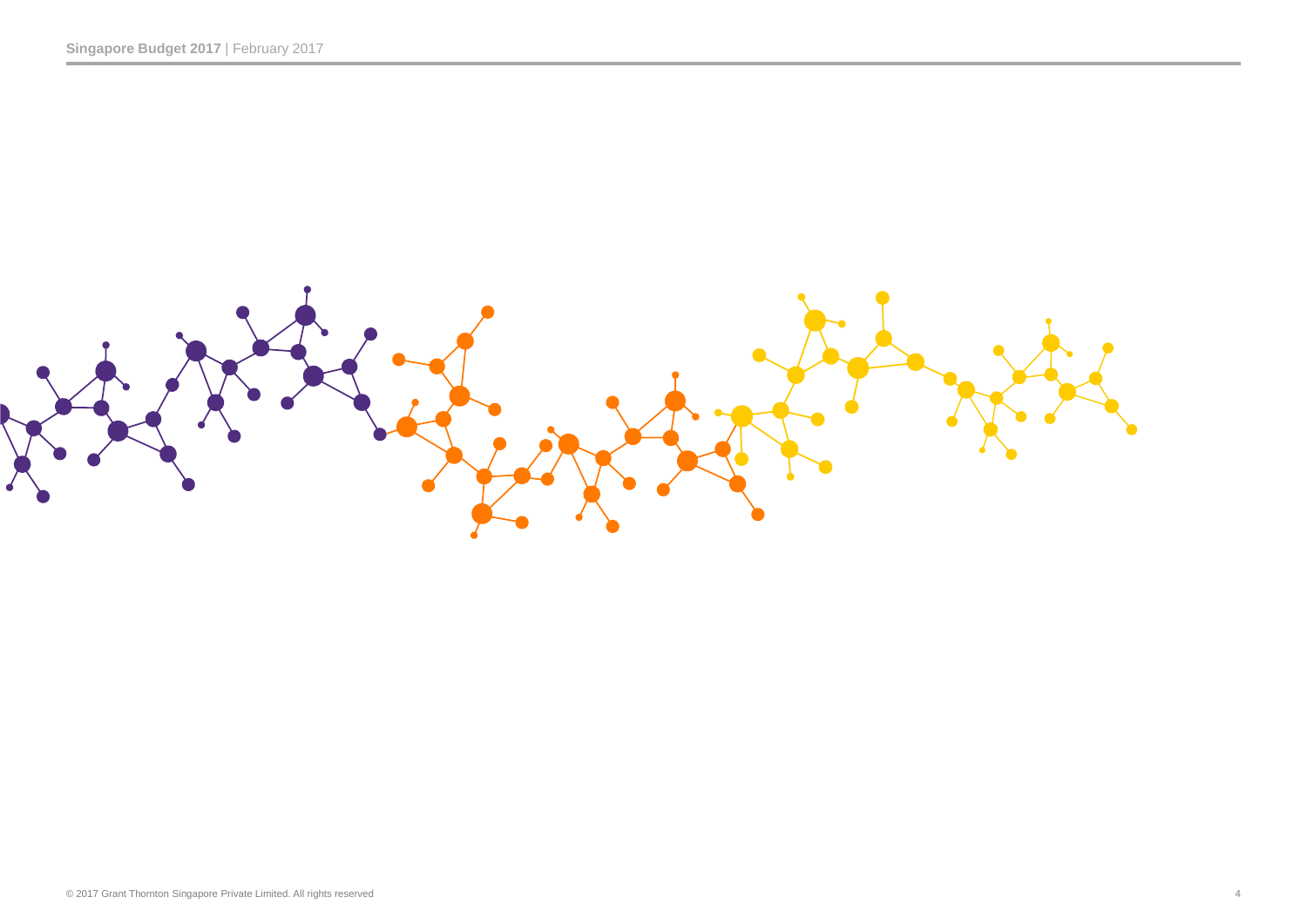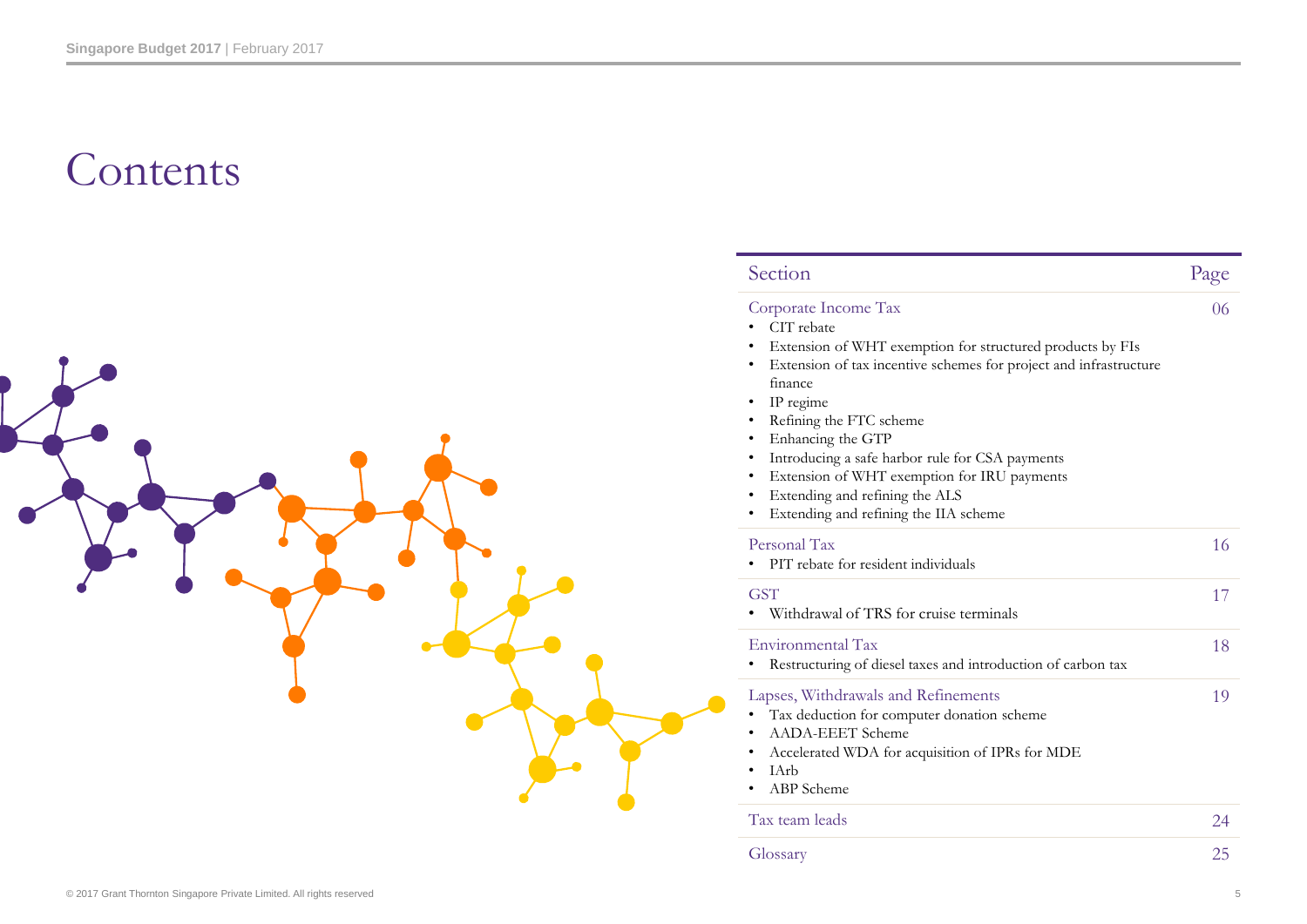### **Contents**



| Section                                                                                                                                                                                                                                                                                                                                                                                                                   | Page |
|---------------------------------------------------------------------------------------------------------------------------------------------------------------------------------------------------------------------------------------------------------------------------------------------------------------------------------------------------------------------------------------------------------------------------|------|
| Corporate Income Tax<br>CIT rebate<br>Extension of WHT exemption for structured products by FIs<br>Extension of tax incentive schemes for project and infrastructure<br>finance<br>IP regime<br>Refining the FTC scheme<br>Enhancing the GTP<br>Introducing a safe harbor rule for CSA payments<br>Extension of WHT exemption for IRU payments<br>Extending and refining the ALS<br>Extending and refining the IIA scheme | 06   |
| Personal Tax<br>PIT rebate for resident individuals                                                                                                                                                                                                                                                                                                                                                                       | 16   |
| <b>GST</b><br>Withdrawal of TRS for cruise terminals                                                                                                                                                                                                                                                                                                                                                                      | 17   |
| Environmental Tax<br>Restructuring of diesel taxes and introduction of carbon tax                                                                                                                                                                                                                                                                                                                                         | 18   |
| Lapses, Withdrawals and Refinements<br>Tax deduction for computer donation scheme<br>AADA-EEET Scheme<br>Accelerated WDA for acquisition of IPRs for MDE<br><b>IArb</b><br>ABP Scheme                                                                                                                                                                                                                                     | 19   |
| Tax team leads                                                                                                                                                                                                                                                                                                                                                                                                            | 24   |

Glossary 25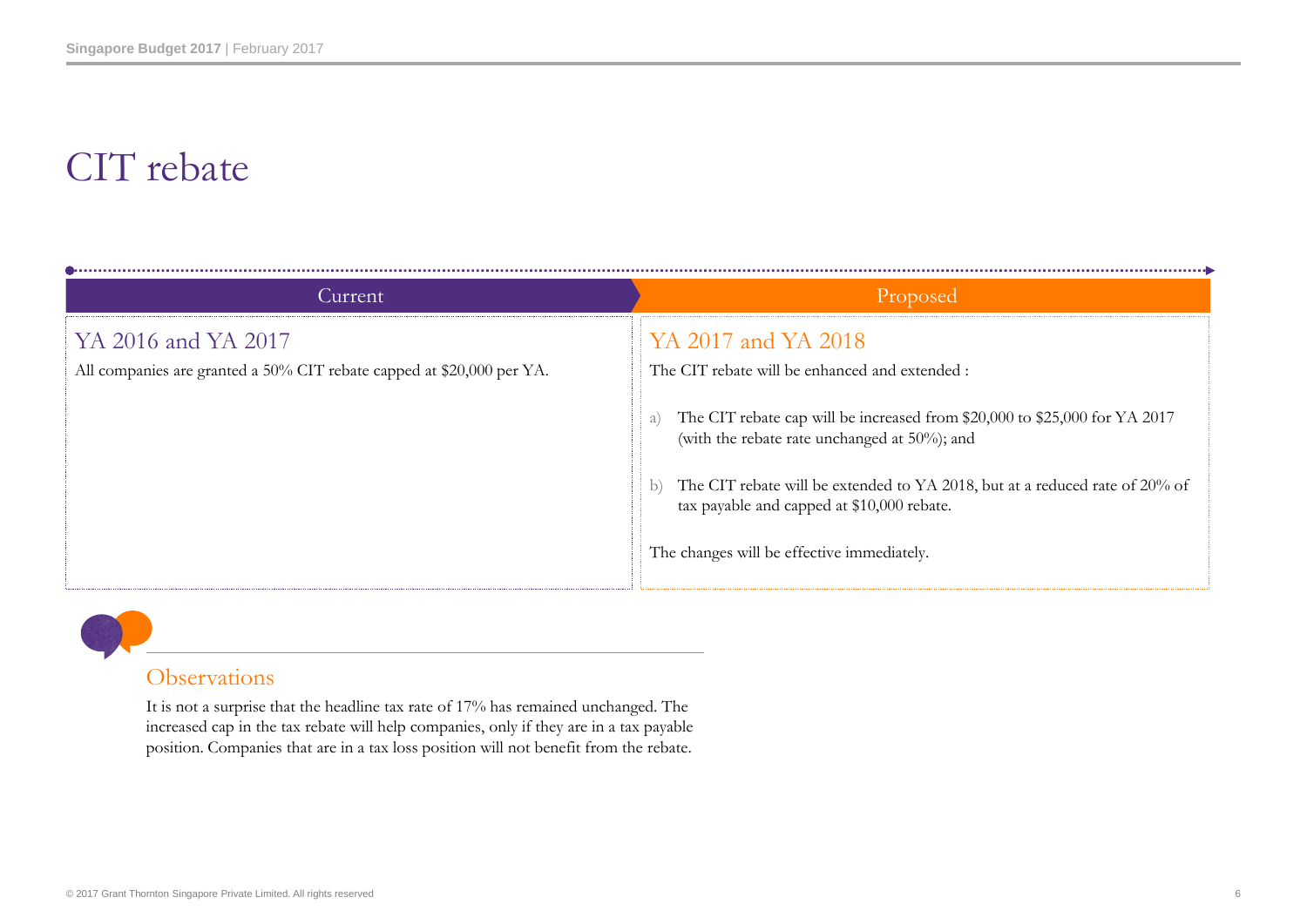### CIT rebate

| Current                                                                                      | Proposed                                                                                                                                                                                                                                                                                                                                                                             |
|----------------------------------------------------------------------------------------------|--------------------------------------------------------------------------------------------------------------------------------------------------------------------------------------------------------------------------------------------------------------------------------------------------------------------------------------------------------------------------------------|
| YA 2016 and YA 2017<br>All companies are granted a 50% CIT rebate capped at \$20,000 per YA. | YA 2017 and YA 2018<br>The CIT rebate will be enhanced and extended :<br>The CIT rebate cap will be increased from \$20,000 to \$25,000 for YA 2017<br>(with the rebate rate unchanged at 50%); and<br>The CIT rebate will be extended to YA 2018, but at a reduced rate of 20% of<br>b)<br>tax payable and capped at \$10,000 rebate.<br>The changes will be effective immediately. |

#### **Observations**

It is not a surprise that the headline tax rate of 17% has remained unchanged. The increased cap in the tax rebate will help companies, only if they are in a tax payable position. Companies that are in a tax loss position will not benefit from the rebate.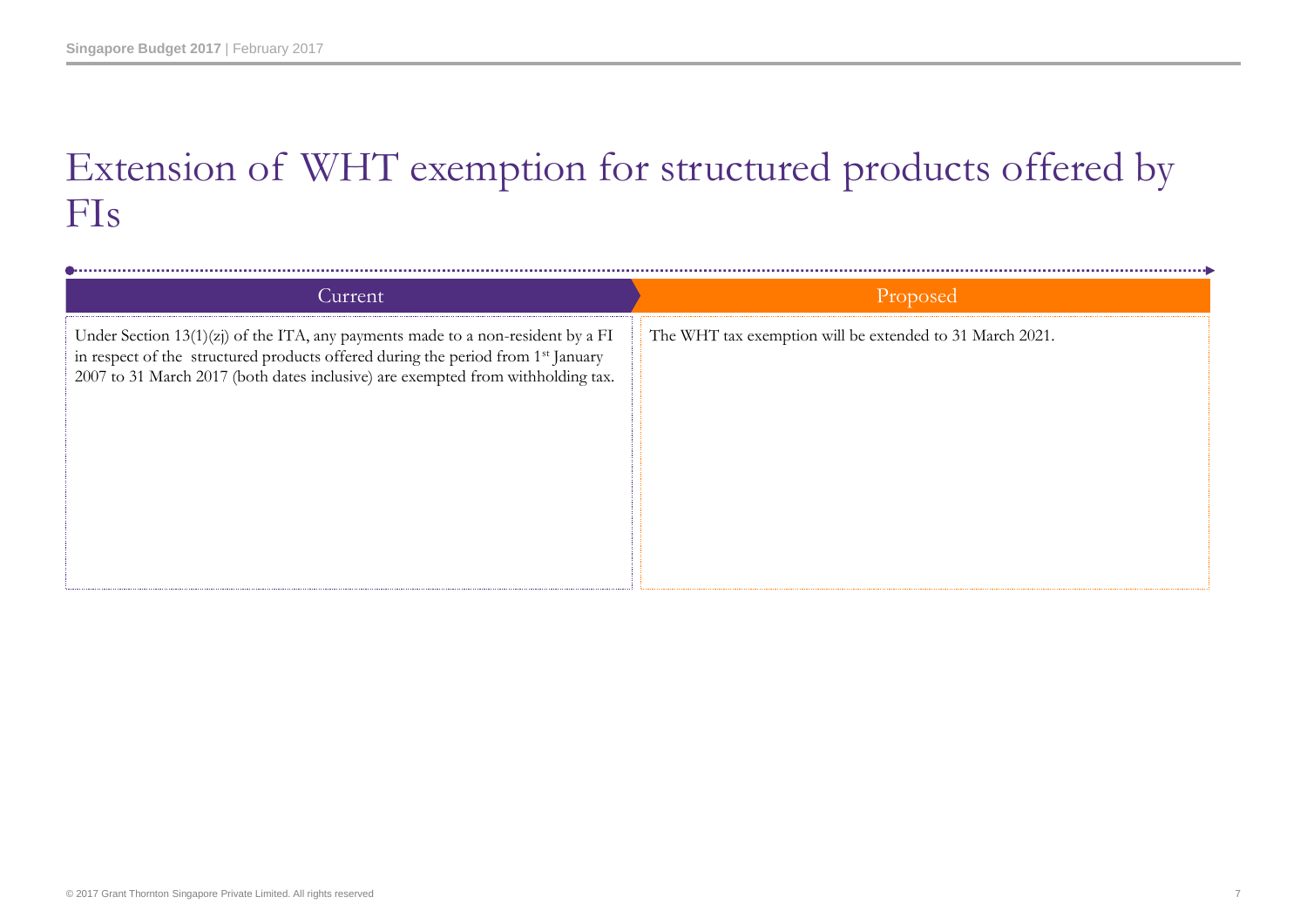### Extension of WHT exemption for structured products offered by FIs

| Current                                                                                                                                                                                                                                                             | Proposed                                                 |
|---------------------------------------------------------------------------------------------------------------------------------------------------------------------------------------------------------------------------------------------------------------------|----------------------------------------------------------|
| Under Section $13(1)(z)$ of the ITA, any payments made to a non-resident by a FI<br>in respect of the structured products offered during the period from 1 <sup>st</sup> January<br>2007 to 31 March 2017 (both dates inclusive) are exempted from withholding tax. | The WHT tax exemption will be extended to 31 March 2021. |
|                                                                                                                                                                                                                                                                     |                                                          |
|                                                                                                                                                                                                                                                                     |                                                          |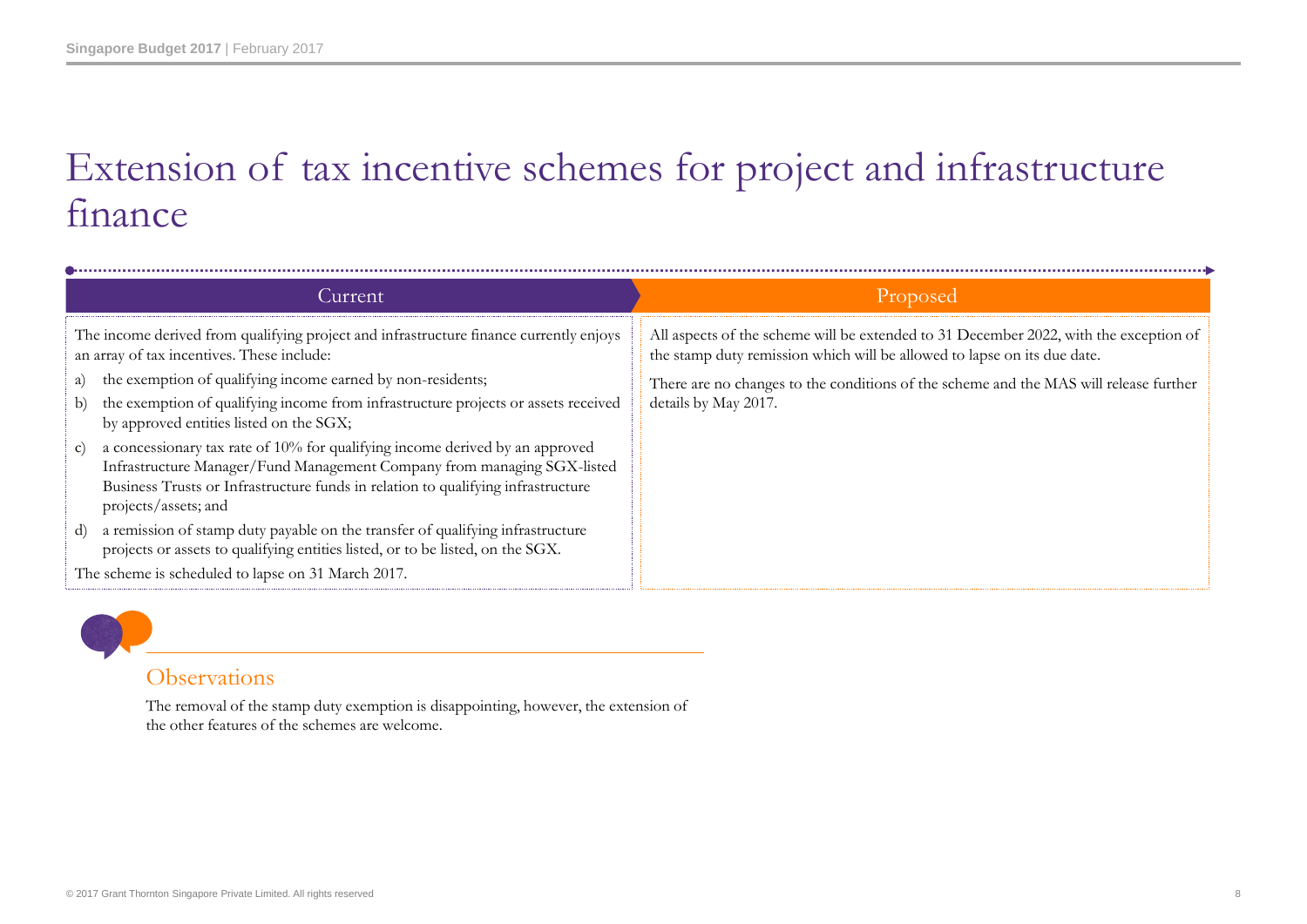### Extension of tax incentive schemes for project and infrastructure finance

| Current                                                                                                                                                                                                                                                                                                                                                                                                                                                                                                                                                                                                                                                                                                                                                                                                                                                                   | Proposed                                                                                                                                                                                                                                                                           |
|---------------------------------------------------------------------------------------------------------------------------------------------------------------------------------------------------------------------------------------------------------------------------------------------------------------------------------------------------------------------------------------------------------------------------------------------------------------------------------------------------------------------------------------------------------------------------------------------------------------------------------------------------------------------------------------------------------------------------------------------------------------------------------------------------------------------------------------------------------------------------|------------------------------------------------------------------------------------------------------------------------------------------------------------------------------------------------------------------------------------------------------------------------------------|
| The income derived from qualifying project and infrastructure finance currently enjoys<br>an array of tax incentives. These include:<br>the exemption of qualifying income earned by non-residents;<br>a)<br>the exemption of qualifying income from infrastructure projects or assets received<br>b)<br>by approved entities listed on the SGX;<br>a concessionary tax rate of 10% for qualifying income derived by an approved<br>$\mathbf{C}$ )<br>Infrastructure Manager/Fund Management Company from managing SGX-listed<br>Business Trusts or Infrastructure funds in relation to qualifying infrastructure<br>projects/assets; and<br>a remission of stamp duty payable on the transfer of qualifying infrastructure<br>d)<br>projects or assets to qualifying entities listed, or to be listed, on the SGX.<br>The scheme is scheduled to lapse on 31 March 2017. | All aspects of the scheme will be extended to 31 December 2022, with the exception of<br>the stamp duty remission which will be allowed to lapse on its due date.<br>There are no changes to the conditions of the scheme and the MAS will release further<br>details by May 2017. |



#### **Observations**

The removal of the stamp duty exemption is disappointing, however, the extension of the other features of the schemes are welcome.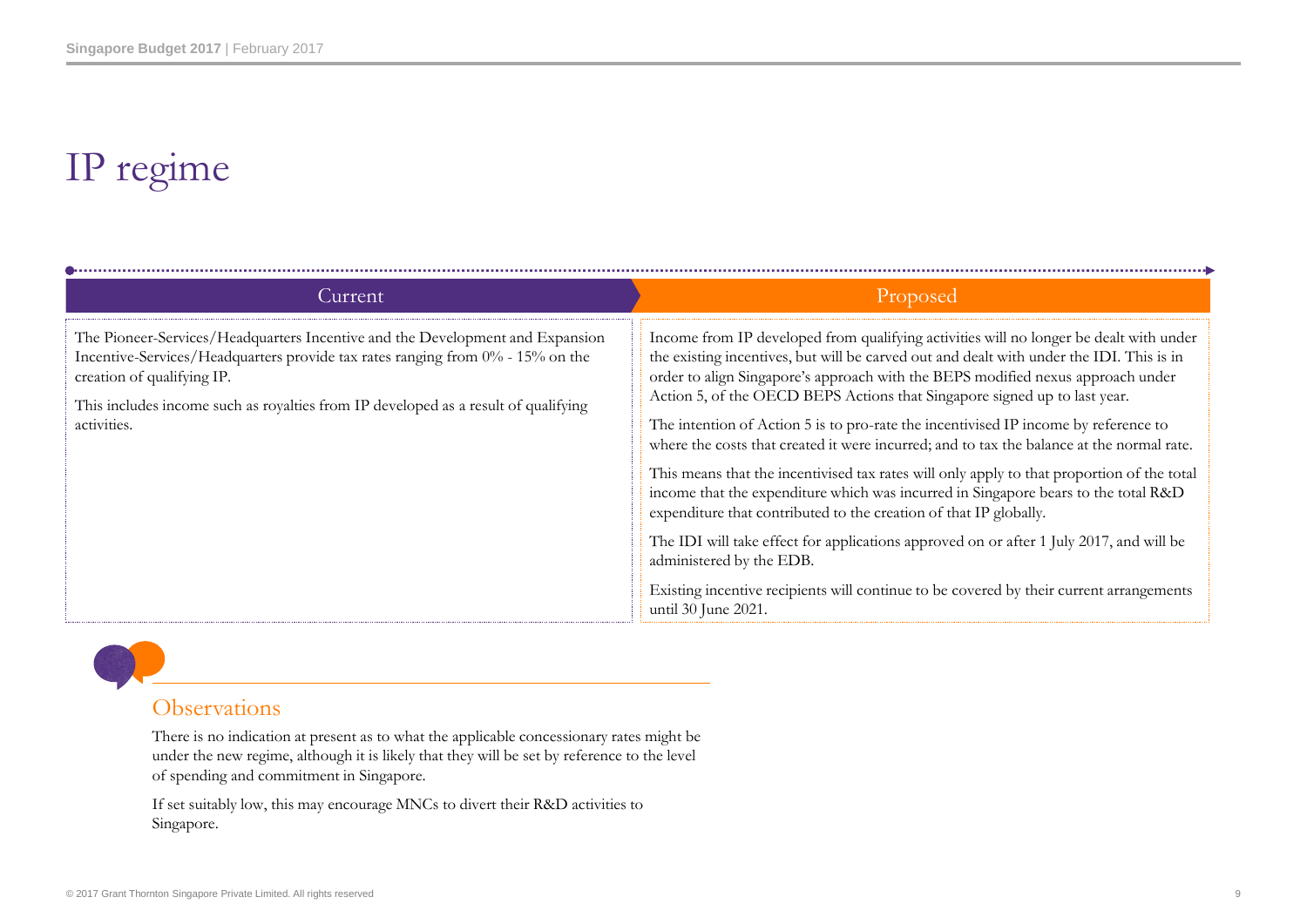### IP regime

| Current                                                                                                                                                                                                                                                                                            | Proposed                                                                                                                                                                                                                                                                                                                                                                                                                                                                                                                                                                                                                                                                                                                                                                                                                                                                                                                                                                                                                                 |
|----------------------------------------------------------------------------------------------------------------------------------------------------------------------------------------------------------------------------------------------------------------------------------------------------|------------------------------------------------------------------------------------------------------------------------------------------------------------------------------------------------------------------------------------------------------------------------------------------------------------------------------------------------------------------------------------------------------------------------------------------------------------------------------------------------------------------------------------------------------------------------------------------------------------------------------------------------------------------------------------------------------------------------------------------------------------------------------------------------------------------------------------------------------------------------------------------------------------------------------------------------------------------------------------------------------------------------------------------|
| The Pioneer-Services/Headquarters Incentive and the Development and Expansion<br>Incentive-Services/Headquarters provide tax rates ranging from 0% - 15% on the<br>creation of qualifying IP.<br>This includes income such as royalties from IP developed as a result of qualifying<br>activities. | Income from IP developed from qualifying activities will no longer be dealt with under<br>the existing incentives, but will be carved out and dealt with under the IDI. This is in<br>order to align Singapore's approach with the BEPS modified nexus approach under<br>Action 5, of the OECD BEPS Actions that Singapore signed up to last year.<br>The intention of Action 5 is to pro-rate the incentivised IP income by reference to<br>where the costs that created it were incurred; and to tax the balance at the normal rate.<br>This means that the incentivised tax rates will only apply to that proportion of the total<br>income that the expenditure which was incurred in Singapore bears to the total R&D<br>expenditure that contributed to the creation of that IP globally.<br>The IDI will take effect for applications approved on or after 1 July 2017, and will be<br>administered by the EDB.<br>Existing incentive recipients will continue to be covered by their current arrangements<br>until 30 June 2021. |

#### **Observations**

There is no indication at present as to what the applicable concessionary rates might be under the new regime, although it is likely that they will be set by reference to the level of spending and commitment in Singapore.

If set suitably low, this may encourage MNCs to divert their R&D activities to Singapore.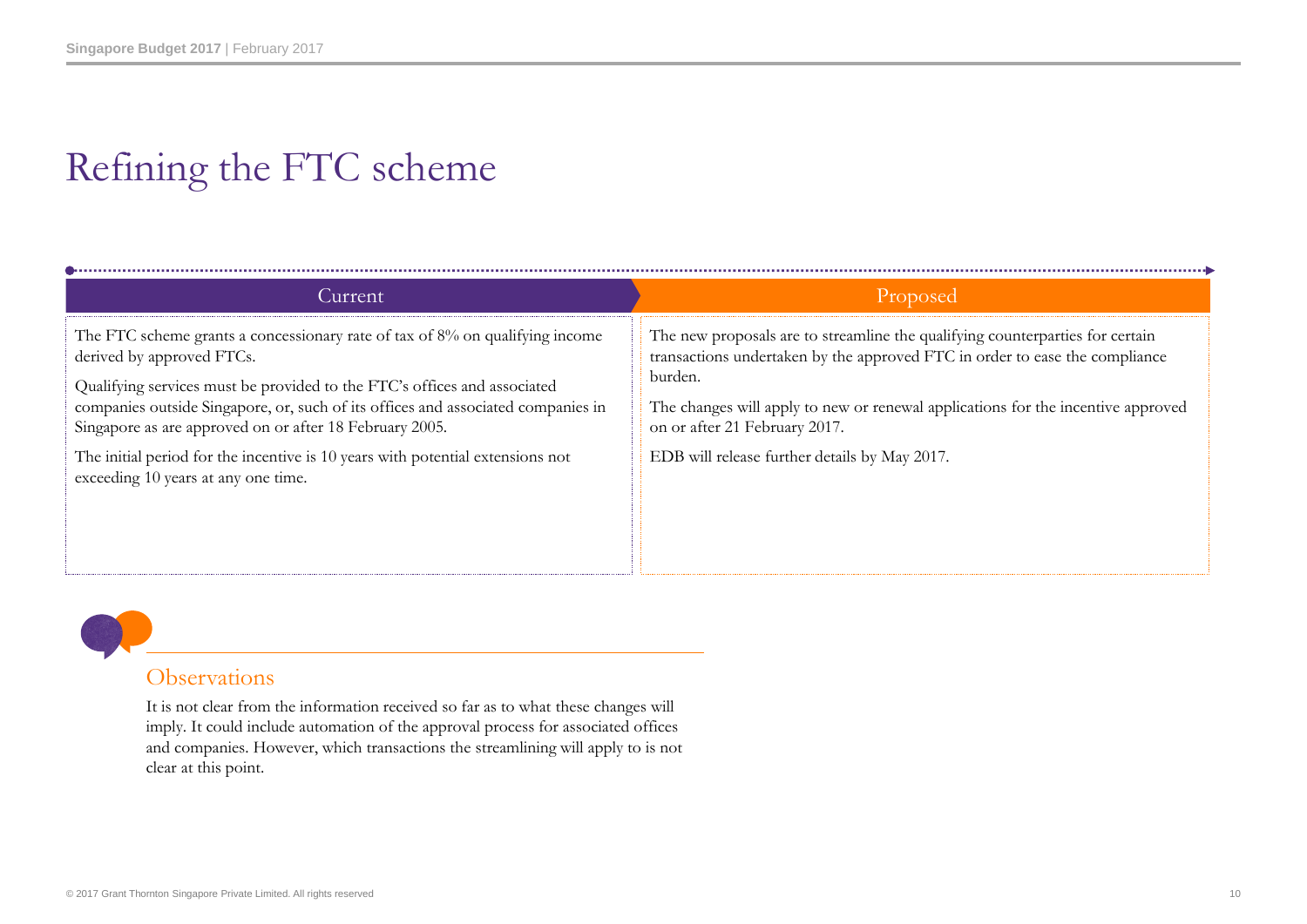### Refining the FTC scheme

| Current                                                                                                                                                                                                                                                                                                                                                                                                                                                       | Proposed                                                                                                                                                                                                                                                                                                                                      |
|---------------------------------------------------------------------------------------------------------------------------------------------------------------------------------------------------------------------------------------------------------------------------------------------------------------------------------------------------------------------------------------------------------------------------------------------------------------|-----------------------------------------------------------------------------------------------------------------------------------------------------------------------------------------------------------------------------------------------------------------------------------------------------------------------------------------------|
| The FTC scheme grants a concessionary rate of tax of 8% on qualifying income<br>derived by approved FTCs.<br>Qualifying services must be provided to the FTC's offices and associated<br>companies outside Singapore, or, such of its offices and associated companies in<br>Singapore as are approved on or after 18 February 2005.<br>The initial period for the incentive is 10 years with potential extensions not<br>exceeding 10 years at any one time. | The new proposals are to streamline the qualifying counterparties for certain<br>transactions undertaken by the approved FTC in order to ease the compliance<br>burden.<br>The changes will apply to new or renewal applications for the incentive approved<br>on or after 21 February 2017.<br>EDB will release further details by May 2017. |



#### **Observations**

It is not clear from the information received so far as to what these changes will imply. It could include automation of the approval process for associated offices and companies. However, which transactions the streamlining will apply to is not clear at this point.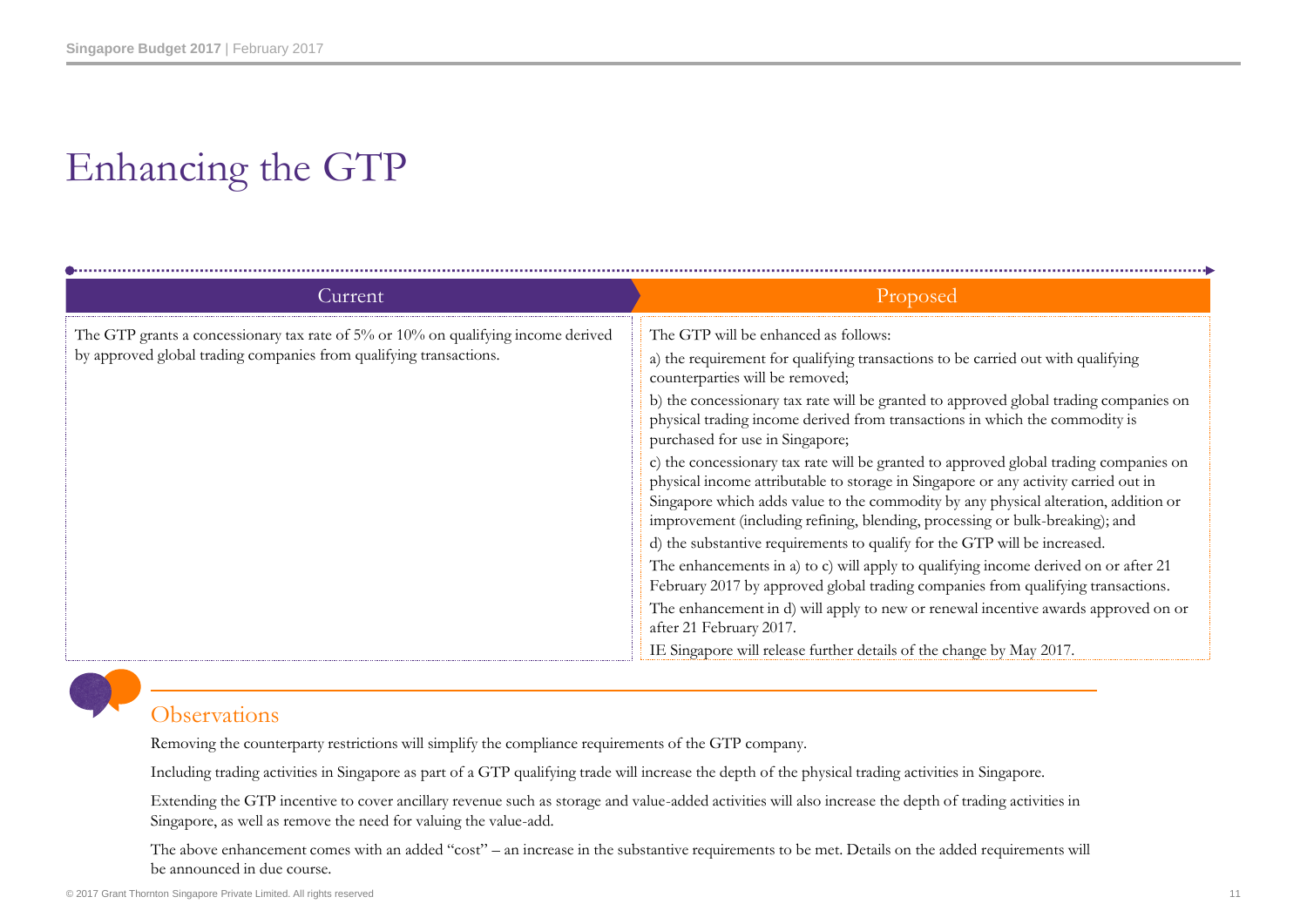### Enhancing the GTP

| Current                                                                                                                                                 | Proposed                                                                                                                                                                                                                                                                                                                                                                                                                                                                                                                                                                                                                                                                                                                                                                                                                                                                                                                                                                                                                                                                                                                                                                       |
|---------------------------------------------------------------------------------------------------------------------------------------------------------|--------------------------------------------------------------------------------------------------------------------------------------------------------------------------------------------------------------------------------------------------------------------------------------------------------------------------------------------------------------------------------------------------------------------------------------------------------------------------------------------------------------------------------------------------------------------------------------------------------------------------------------------------------------------------------------------------------------------------------------------------------------------------------------------------------------------------------------------------------------------------------------------------------------------------------------------------------------------------------------------------------------------------------------------------------------------------------------------------------------------------------------------------------------------------------|
| The GTP grants a concessionary tax rate of 5% or 10% on qualifying income derived<br>by approved global trading companies from qualifying transactions. | The GTP will be enhanced as follows:<br>a) the requirement for qualifying transactions to be carried out with qualifying<br>counterparties will be removed;<br>b) the concessionary tax rate will be granted to approved global trading companies on<br>physical trading income derived from transactions in which the commodity is<br>purchased for use in Singapore;<br>c) the concessionary tax rate will be granted to approved global trading companies on<br>physical income attributable to storage in Singapore or any activity carried out in<br>Singapore which adds value to the commodity by any physical alteration, addition or<br>improvement (including refining, blending, processing or bulk-breaking); and<br>d) the substantive requirements to qualify for the GTP will be increased.<br>The enhancements in a) to c) will apply to qualifying income derived on or after 21<br>February 2017 by approved global trading companies from qualifying transactions.<br>The enhancement in d) will apply to new or renewal incentive awards approved on or<br>after 21 February 2017.<br>IE Singapore will release further details of the change by May 2017. |

#### **Observations**

Removing the counterparty restrictions will simplify the compliance requirements of the GTP company.

Including trading activities in Singapore as part of a GTP qualifying trade will increase the depth of the physical trading activities in Singapore.

Extending the GTP incentive to cover ancillary revenue such as storage and value-added activities will also increase the depth of trading activities in Singapore, as well as remove the need for valuing the value-add.

The above enhancement comes with an added "cost" – an increase in the substantive requirements to be met. Details on the added requirements will be announced in due course.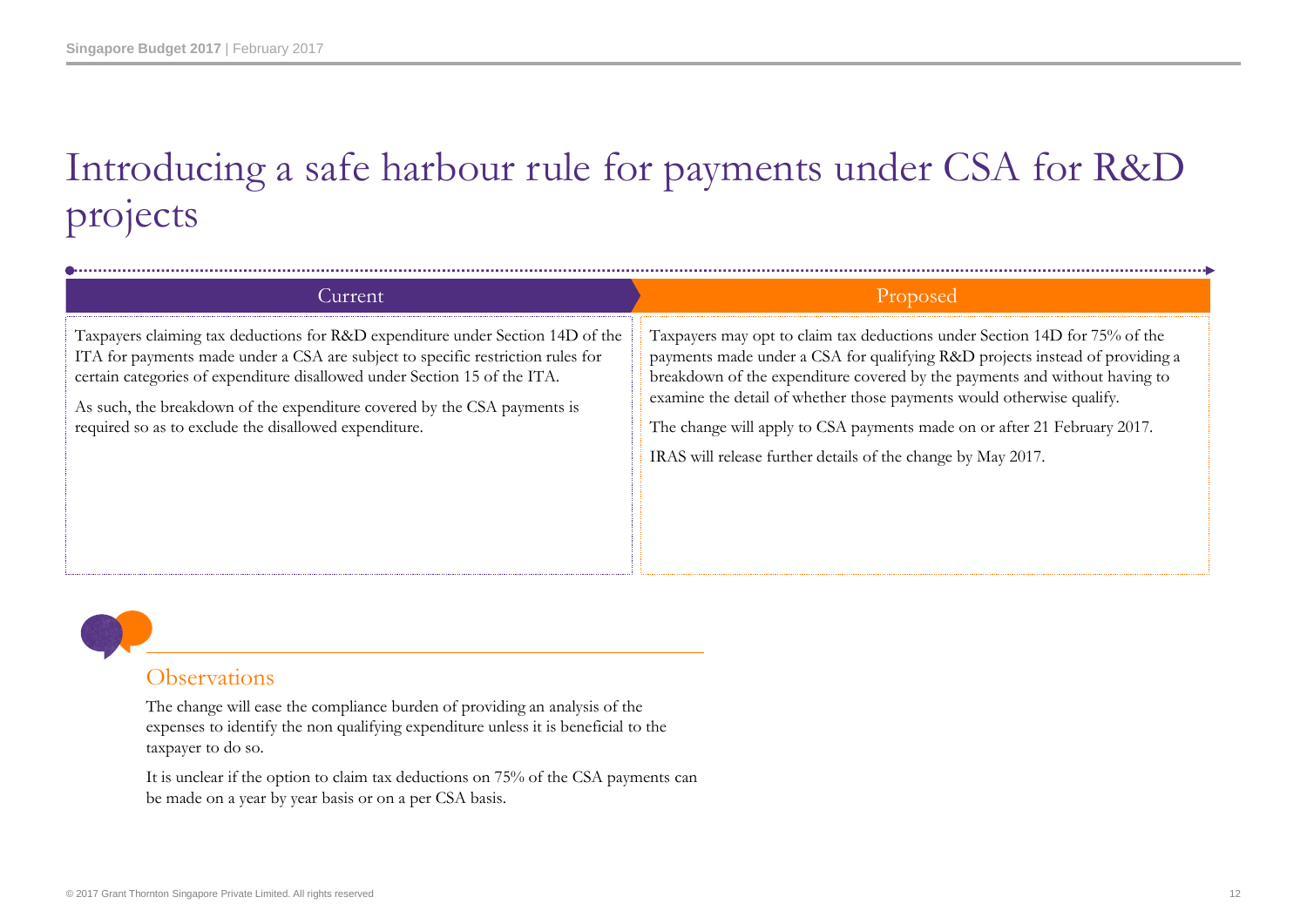### Introducing a safe harbour rule for payments under CSA for R&D projects

| Current                                                                                                                                                                                                                                                                                                                                                                             | Proposed                                                                                                                                                                                                                                                                                                                                                                                                                                                      |
|-------------------------------------------------------------------------------------------------------------------------------------------------------------------------------------------------------------------------------------------------------------------------------------------------------------------------------------------------------------------------------------|---------------------------------------------------------------------------------------------------------------------------------------------------------------------------------------------------------------------------------------------------------------------------------------------------------------------------------------------------------------------------------------------------------------------------------------------------------------|
| Taxpayers claiming tax deductions for R&D expenditure under Section 14D of the<br>ITA for payments made under a CSA are subject to specific restriction rules for<br>certain categories of expenditure disallowed under Section 15 of the ITA.<br>As such, the breakdown of the expenditure covered by the CSA payments is<br>required so as to exclude the disallowed expenditure. | Taxpayers may opt to claim tax deductions under Section 14D for 75% of the<br>payments made under a CSA for qualifying R&D projects instead of providing a<br>breakdown of the expenditure covered by the payments and without having to<br>examine the detail of whether those payments would otherwise qualify.<br>The change will apply to CSA payments made on or after 21 February 2017.<br>IRAS will release further details of the change by May 2017. |



#### **Observations**

The change will ease the compliance burden of providing an analysis of the expenses to identify the non qualifying expenditure unless it is beneficial to the taxpayer to do so.

It is unclear if the option to claim tax deductions on 75% of the CSA payments can be made on a year by year basis or on a per CSA basis.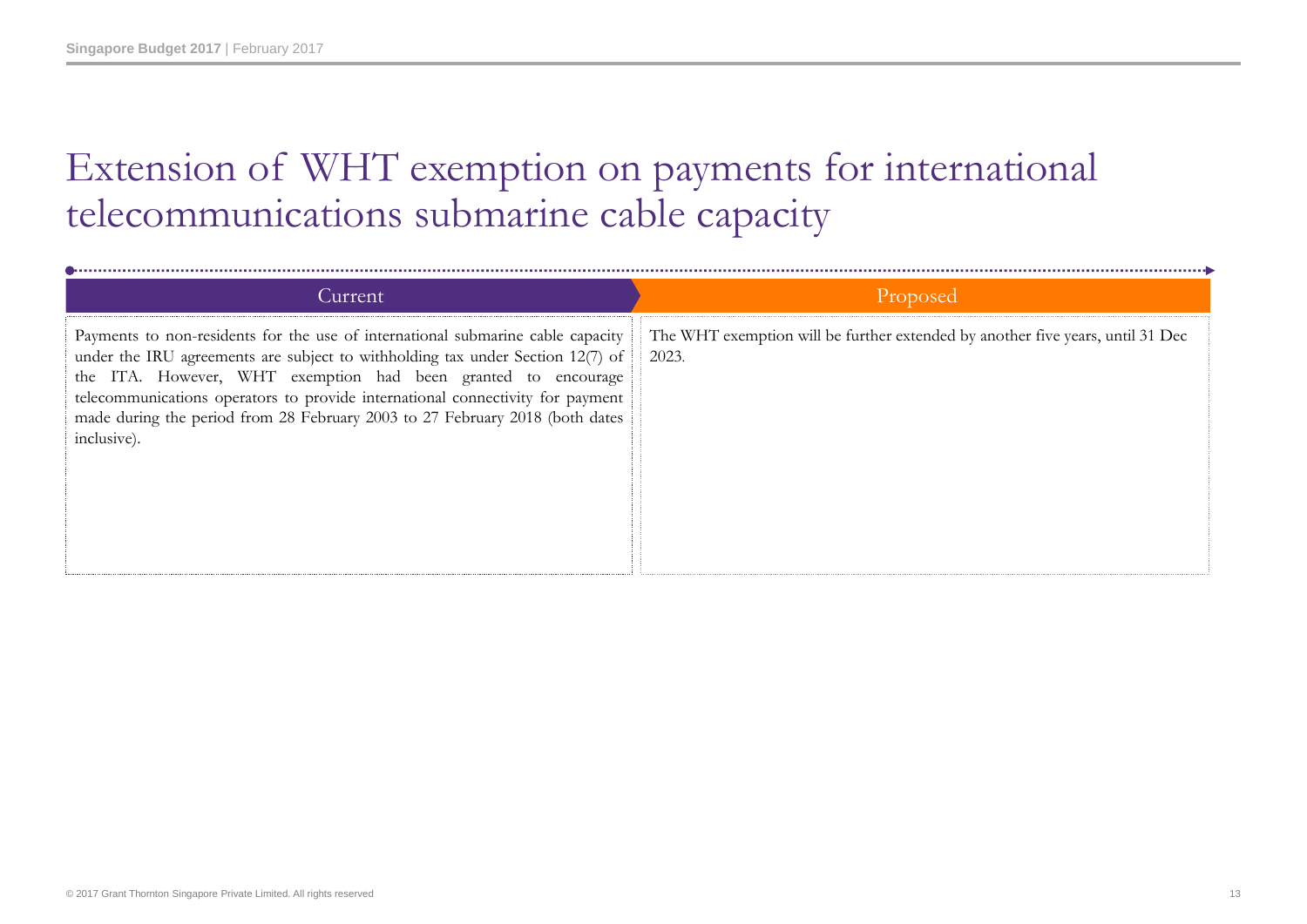### Extension of WHT exemption on payments for international telecommunications submarine cable capacity

| Current                                                                                                                                                                                                                                                                                                                                                                                                             | Proposed                                                                                |
|---------------------------------------------------------------------------------------------------------------------------------------------------------------------------------------------------------------------------------------------------------------------------------------------------------------------------------------------------------------------------------------------------------------------|-----------------------------------------------------------------------------------------|
| Payments to non-residents for the use of international submarine cable capacity<br>under the IRU agreements are subject to withholding tax under Section 12(7) of<br>the ITA. However, WHT exemption had been granted to encourage<br>telecommunications operators to provide international connectivity for payment<br>made during the period from 28 February 2003 to 27 February 2018 (both dates<br>inclusive). | The WHT exemption will be further extended by another five years, until 31 Dec<br>2023. |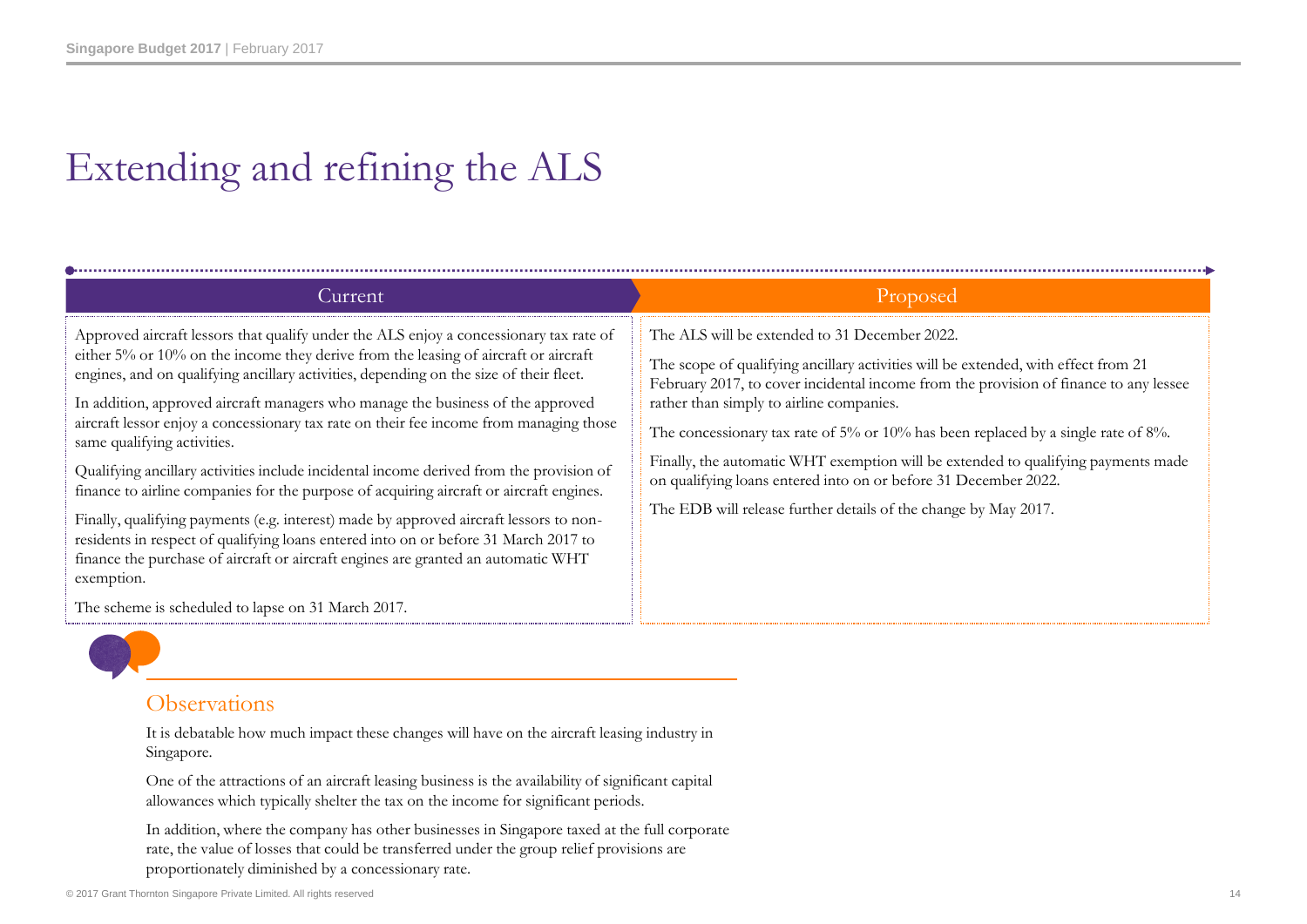### Extending and refining the ALS

| Current                                                                                                                                                                                                                                                                                                                                                                                                                                                                                                                                                                                                                                                                                                                                                                                                                                                                                                                                                                                                             | Proposed                                                                                                                                                                                                                                                                                                                                                                                                                                                                                                                                                                                 |
|---------------------------------------------------------------------------------------------------------------------------------------------------------------------------------------------------------------------------------------------------------------------------------------------------------------------------------------------------------------------------------------------------------------------------------------------------------------------------------------------------------------------------------------------------------------------------------------------------------------------------------------------------------------------------------------------------------------------------------------------------------------------------------------------------------------------------------------------------------------------------------------------------------------------------------------------------------------------------------------------------------------------|------------------------------------------------------------------------------------------------------------------------------------------------------------------------------------------------------------------------------------------------------------------------------------------------------------------------------------------------------------------------------------------------------------------------------------------------------------------------------------------------------------------------------------------------------------------------------------------|
| Approved aircraft lessors that qualify under the ALS enjoy a concessionary tax rate of<br>either 5% or 10% on the income they derive from the leasing of aircraft or aircraft<br>engines, and on qualifying ancillary activities, depending on the size of their fleet.<br>In addition, approved aircraft managers who manage the business of the approved<br>aircraft lessor enjoy a concessionary tax rate on their fee income from managing those<br>same qualifying activities.<br>Qualifying ancillary activities include incidental income derived from the provision of<br>finance to airline companies for the purpose of acquiring aircraft or aircraft engines.<br>Finally, qualifying payments (e.g. interest) made by approved aircraft lessors to non-<br>residents in respect of qualifying loans entered into on or before 31 March 2017 to<br>finance the purchase of aircraft or aircraft engines are granted an automatic WHT<br>exemption.<br>The scheme is scheduled to lapse on 31 March 2017. | The ALS will be extended to 31 December 2022.<br>The scope of qualifying ancillary activities will be extended, with effect from 21<br>February 2017, to cover incidental income from the provision of finance to any lessee<br>rather than simply to airline companies.<br>The concessionary tax rate of 5% or 10% has been replaced by a single rate of 8%.<br>Finally, the automatic WHT exemption will be extended to qualifying payments made<br>on qualifying loans entered into on or before 31 December 2022.<br>The EDB will release further details of the change by May 2017. |



#### **Observations**

It is debatable how much impact these changes will have on the aircraft leasing industry in Singapore.

One of the attractions of an aircraft leasing business is the availability of significant capital allowances which typically shelter the tax on the income for significant periods.

In addition, where the company has other businesses in Singapore taxed at the full corporate rate, the value of losses that could be transferred under the group relief provisions are proportionately diminished by a concessionary rate.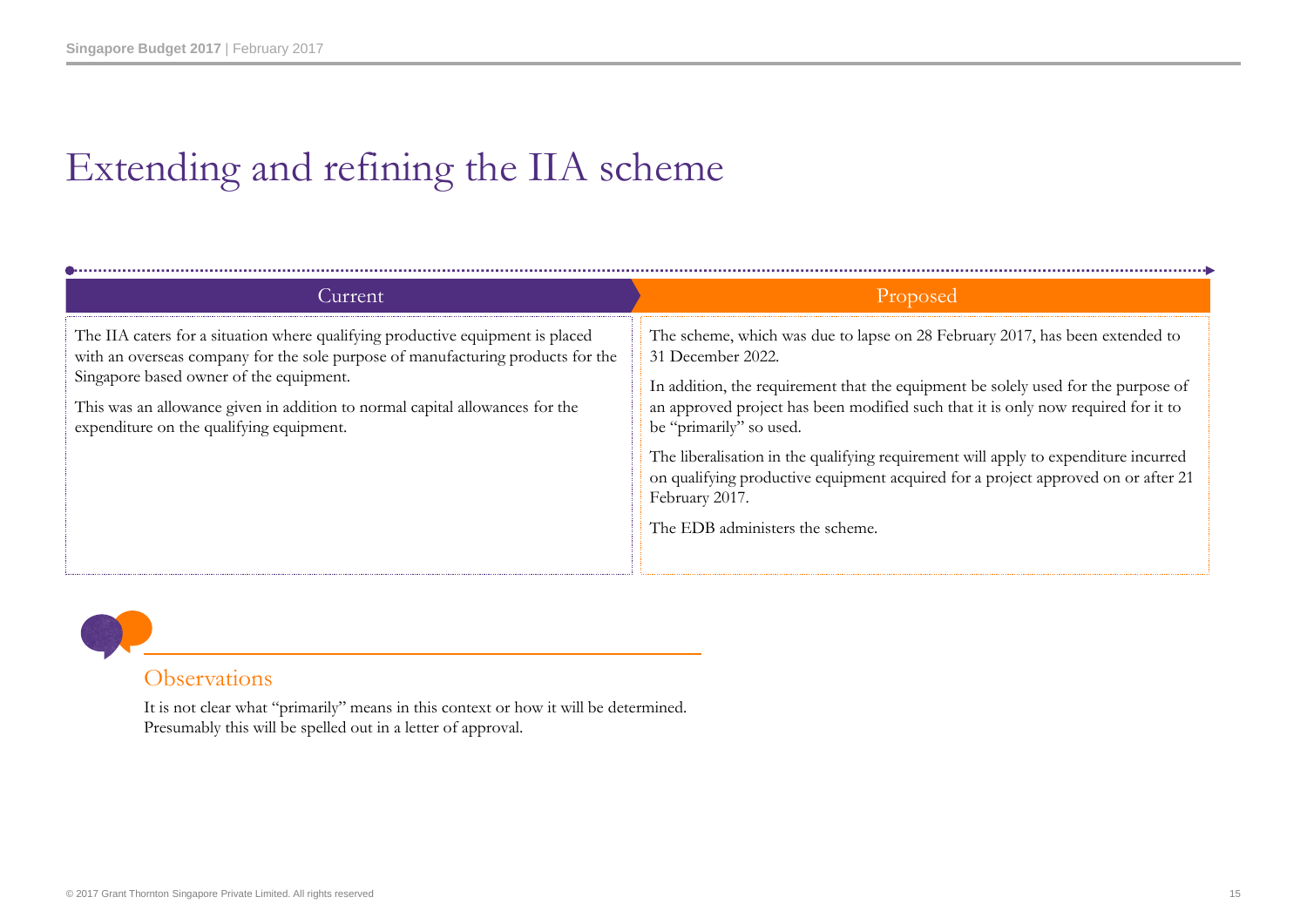### Extending and refining the IIA scheme

| Current                                                                                                                                                                                                                                                                                                                                  | Proposed                                                                                                                                                                                                                                                                                                                                                                                                                                                                                                                                |
|------------------------------------------------------------------------------------------------------------------------------------------------------------------------------------------------------------------------------------------------------------------------------------------------------------------------------------------|-----------------------------------------------------------------------------------------------------------------------------------------------------------------------------------------------------------------------------------------------------------------------------------------------------------------------------------------------------------------------------------------------------------------------------------------------------------------------------------------------------------------------------------------|
| The IIA caters for a situation where qualifying productive equipment is placed<br>with an overseas company for the sole purpose of manufacturing products for the<br>Singapore based owner of the equipment.<br>This was an allowance given in addition to normal capital allowances for the<br>expenditure on the qualifying equipment. | The scheme, which was due to lapse on 28 February 2017, has been extended to<br>31 December 2022.<br>In addition, the requirement that the equipment be solely used for the purpose of<br>an approved project has been modified such that it is only now required for it to<br>be "primarily" so used.<br>The liberalisation in the qualifying requirement will apply to expenditure incurred<br>on qualifying productive equipment acquired for a project approved on or after 21<br>February 2017.<br>The EDB administers the scheme. |



#### **Observations**

It is not clear what "primarily" means in this context or how it will be determined. Presumably this will be spelled out in a letter of approval.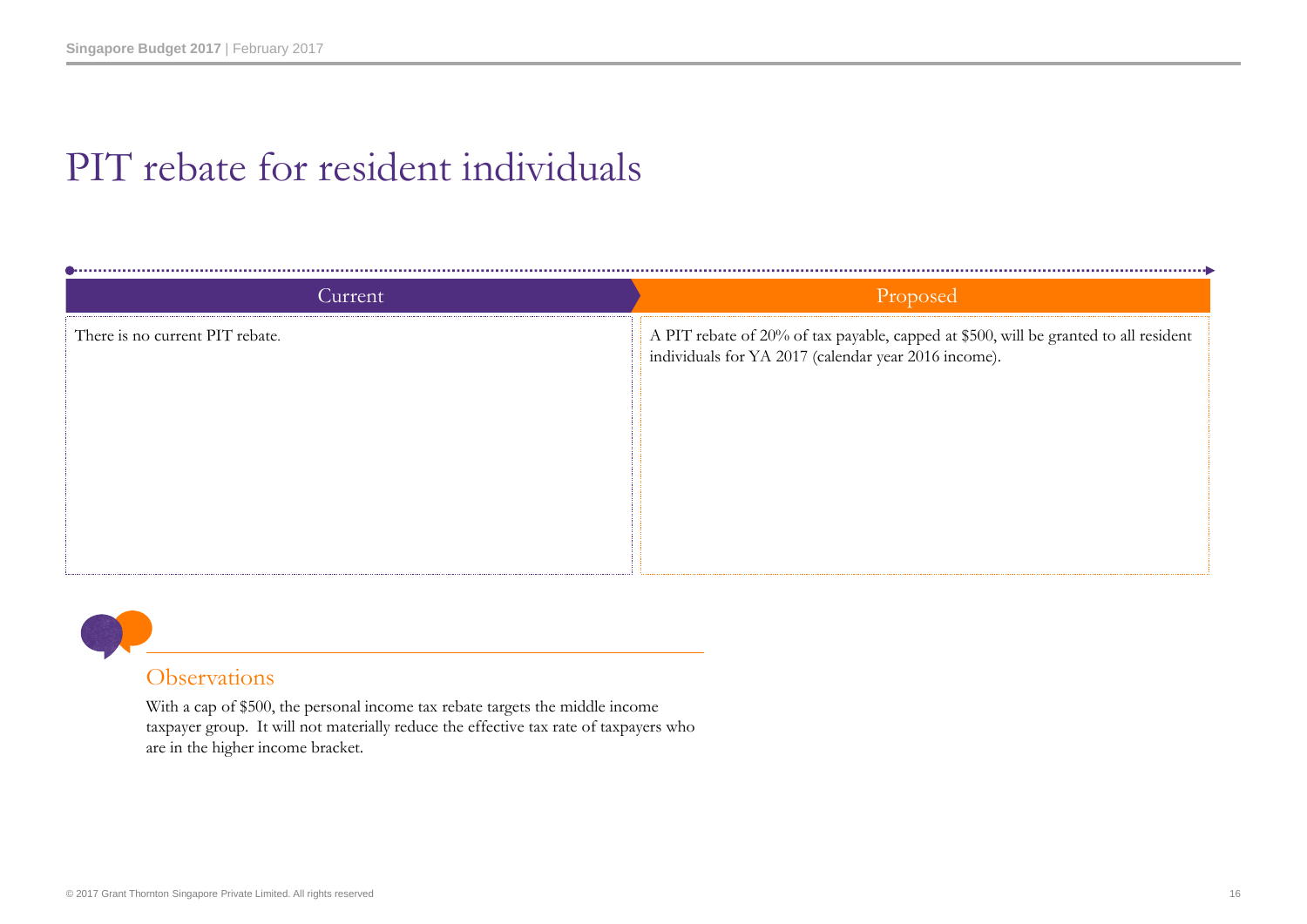### PIT rebate for resident individuals

| .<br>Current                    | Proposed                                                                                                                                     |
|---------------------------------|----------------------------------------------------------------------------------------------------------------------------------------------|
| There is no current PIT rebate. | A PIT rebate of 20% of tax payable, capped at \$500, will be granted to all resident<br>individuals for YA 2017 (calendar year 2016 income). |
|                                 |                                                                                                                                              |



 $\sim$ 

#### **Observations**

With a cap of \$500, the personal income tax rebate targets the middle income taxpayer group. It will not materially reduce the effective tax rate of taxpayers who are in the higher income bracket.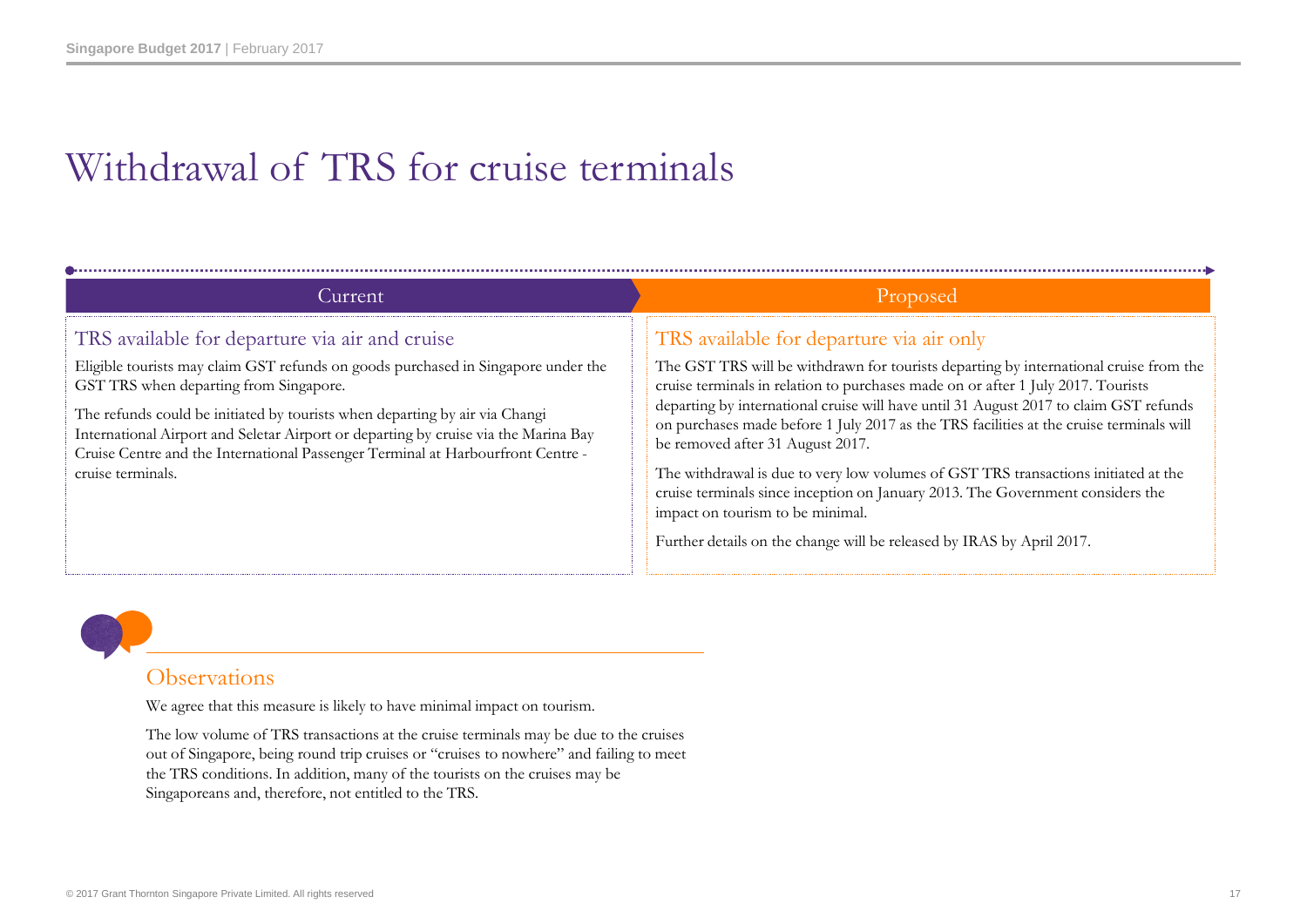### Withdrawal of TRS for cruise terminals

| Current                                                                                                                                                                                                                                                                                                                                                                                                                                                     | Proposed                                                                                                                                                                                                                                                                                                                                                                                                                                                                                                                                                                                                                                                                                                                           |
|-------------------------------------------------------------------------------------------------------------------------------------------------------------------------------------------------------------------------------------------------------------------------------------------------------------------------------------------------------------------------------------------------------------------------------------------------------------|------------------------------------------------------------------------------------------------------------------------------------------------------------------------------------------------------------------------------------------------------------------------------------------------------------------------------------------------------------------------------------------------------------------------------------------------------------------------------------------------------------------------------------------------------------------------------------------------------------------------------------------------------------------------------------------------------------------------------------|
| TRS available for departure via air and cruise<br>Eligible tourists may claim GST refunds on goods purchased in Singapore under the<br>GST TRS when departing from Singapore.<br>The refunds could be initiated by tourists when departing by air via Changi<br>International Airport and Seletar Airport or departing by cruise via the Marina Bay<br>Cruise Centre and the International Passenger Terminal at Harbourfront Centre -<br>cruise terminals. | TRS available for departure via air only<br>The GST TRS will be withdrawn for tourists departing by international cruise from the<br>cruise terminals in relation to purchases made on or after 1 July 2017. Tourists<br>departing by international cruise will have until 31 August 2017 to claim GST refunds<br>on purchases made before 1 July 2017 as the TRS facilities at the cruise terminals will<br>be removed after 31 August 2017.<br>The withdrawal is due to very low volumes of GST TRS transactions initiated at the<br>cruise terminals since inception on January 2013. The Government considers the<br>impact on tourism to be minimal.<br>Further details on the change will be released by IRAS by April 2017. |



#### **Observations**

We agree that this measure is likely to have minimal impact on tourism.

The low volume of TRS transactions at the cruise terminals may be due to the cruises out of Singapore, being round trip cruises or "cruises to nowhere" and failing to meet the TRS conditions. In addition, many of the tourists on the cruises may be Singaporeans and, therefore, not entitled to the TRS.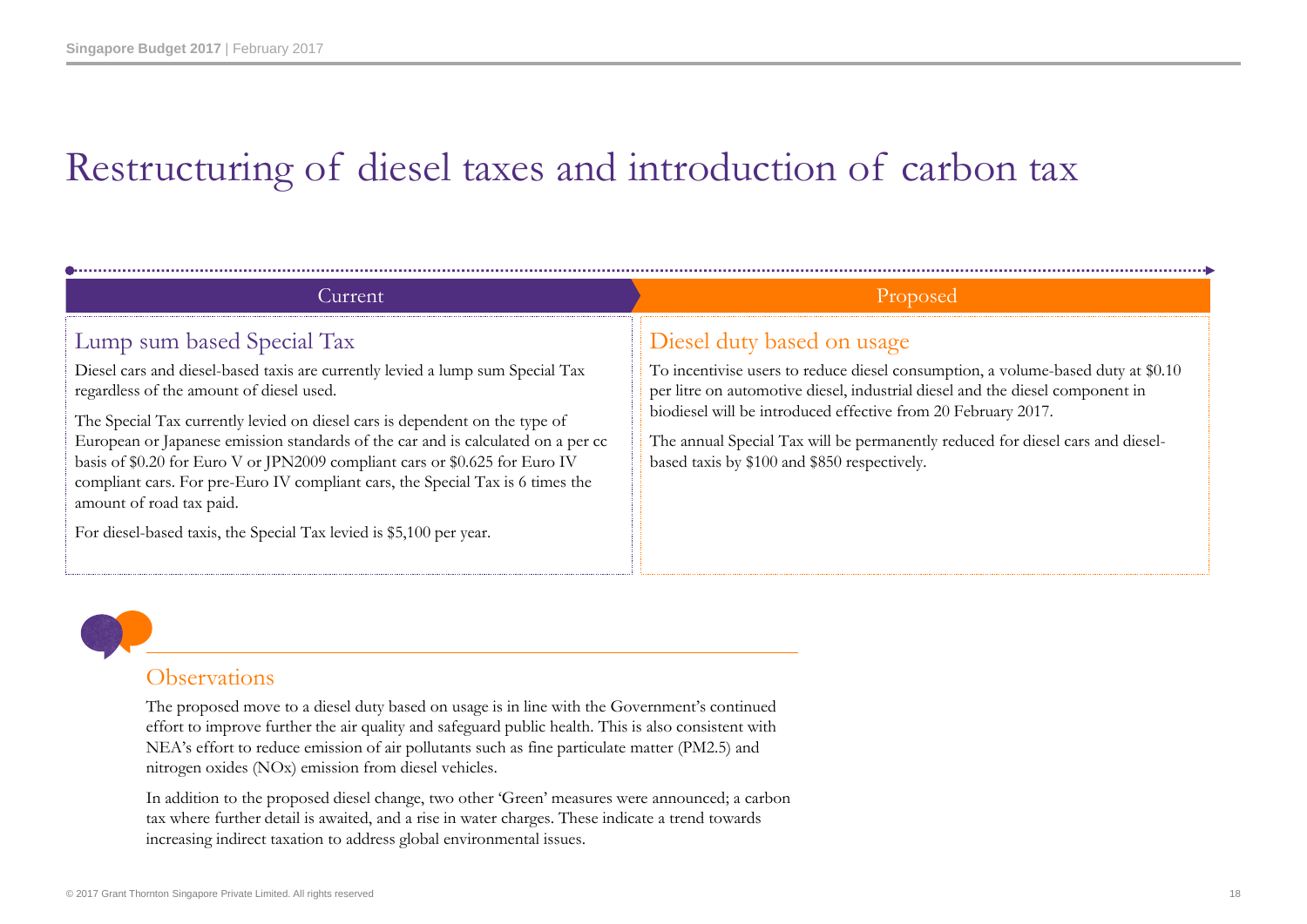### Restructuring of diesel taxes and introduction of carbon tax

| Current                                                                                                                                                                                                                                                                                                                                                                                                                                                                                                                                                                                         | Proposed                                                                                                                                                                                                                                                                                                                                                                                           |
|-------------------------------------------------------------------------------------------------------------------------------------------------------------------------------------------------------------------------------------------------------------------------------------------------------------------------------------------------------------------------------------------------------------------------------------------------------------------------------------------------------------------------------------------------------------------------------------------------|----------------------------------------------------------------------------------------------------------------------------------------------------------------------------------------------------------------------------------------------------------------------------------------------------------------------------------------------------------------------------------------------------|
| Lump sum based Special Tax<br>Diesel cars and diesel-based taxis are currently levied a lump sum Special Tax<br>regardless of the amount of diesel used.<br>The Special Tax currently levied on diesel cars is dependent on the type of<br>European or Japanese emission standards of the car and is calculated on a per cc<br>basis of \$0.20 for Euro V or JPN2009 compliant cars or \$0.625 for Euro IV<br>compliant cars. For pre-Euro IV compliant cars, the Special Tax is 6 times the<br>amount of road tax paid.<br>For diesel-based taxis, the Special Tax levied is \$5,100 per year. | Diesel duty based on usage<br>To incentivise users to reduce diesel consumption, a volume-based duty at \$0.10<br>per litre on automotive diesel, industrial diesel and the diesel component in<br>biodiesel will be introduced effective from 20 February 2017.<br>The annual Special Tax will be permanently reduced for diesel cars and diesel-<br>based taxis by \$100 and \$850 respectively. |



#### **Observations**

The proposed move to a diesel duty based on usage is in line with the Government's continued effort to improve further the air quality and safeguard public health. This is also consistent with NEA's effort to reduce emission of air pollutants such as fine particulate matter (PM2.5) and nitrogen oxides (NOx) emission from diesel vehicles.

In addition to the proposed diesel change, two other 'Green' measures were announced; a carbon tax where further detail is awaited, and a rise in water charges. These indicate a trend towards increasing indirect taxation to address global environmental issues.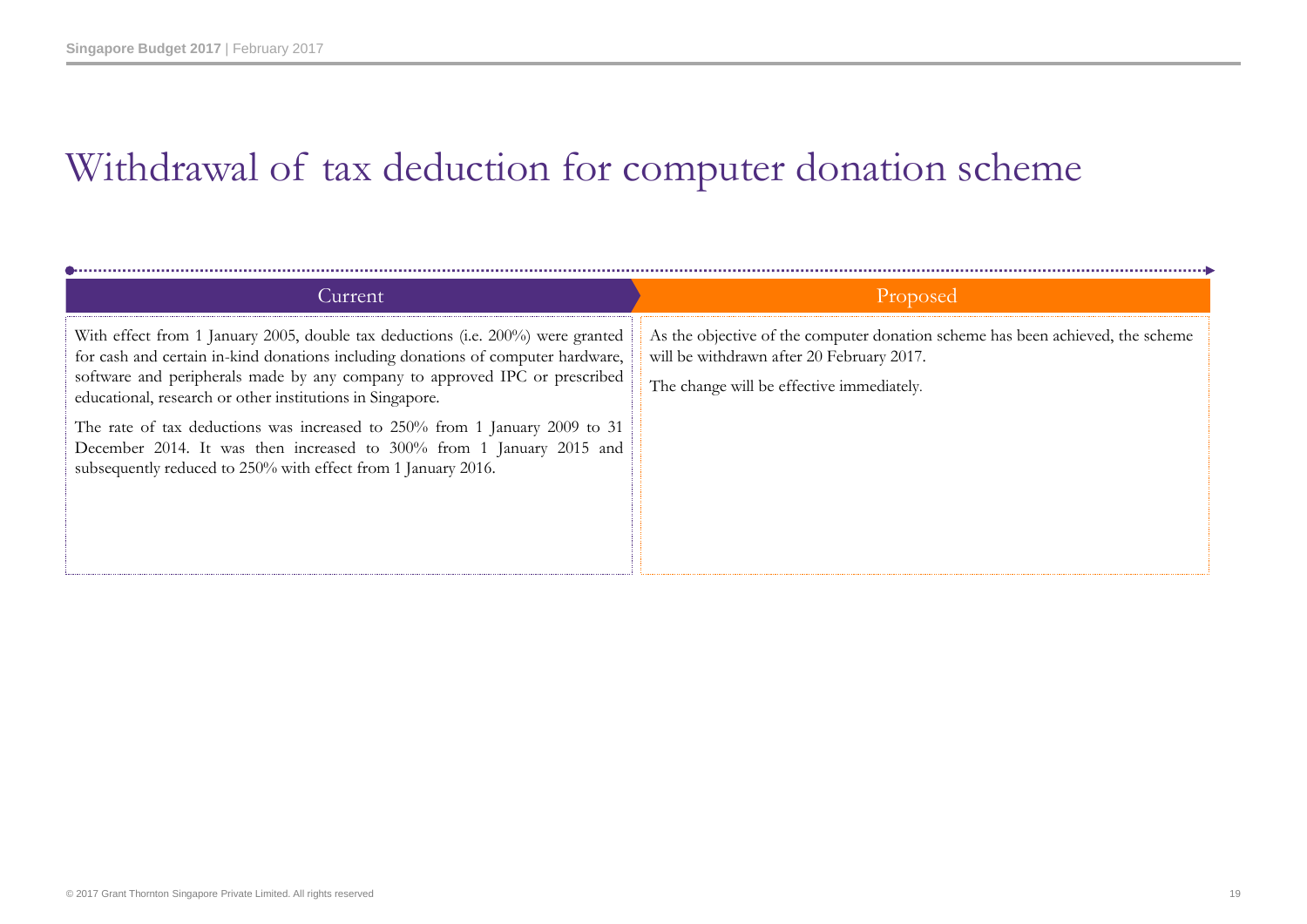### Withdrawal of tax deduction for computer donation scheme

| Current                                                                                                                                                                                                                                                                                                                                                                                                                                                                                                                               | Proposed                                                                                                                                                                 |
|---------------------------------------------------------------------------------------------------------------------------------------------------------------------------------------------------------------------------------------------------------------------------------------------------------------------------------------------------------------------------------------------------------------------------------------------------------------------------------------------------------------------------------------|--------------------------------------------------------------------------------------------------------------------------------------------------------------------------|
| With effect from 1 January 2005, double tax deductions (i.e. 200%) were granted<br>for cash and certain in-kind donations including donations of computer hardware,<br>software and peripherals made by any company to approved IPC or prescribed<br>educational, research or other institutions in Singapore.<br>The rate of tax deductions was increased to 250% from 1 January 2009 to 31<br>December 2014. It was then increased to 300% from 1 January 2015 and<br>subsequently reduced to 250% with effect from 1 January 2016. | As the objective of the computer donation scheme has been achieved, the scheme<br>will be withdrawn after 20 February 2017.<br>The change will be effective immediately. |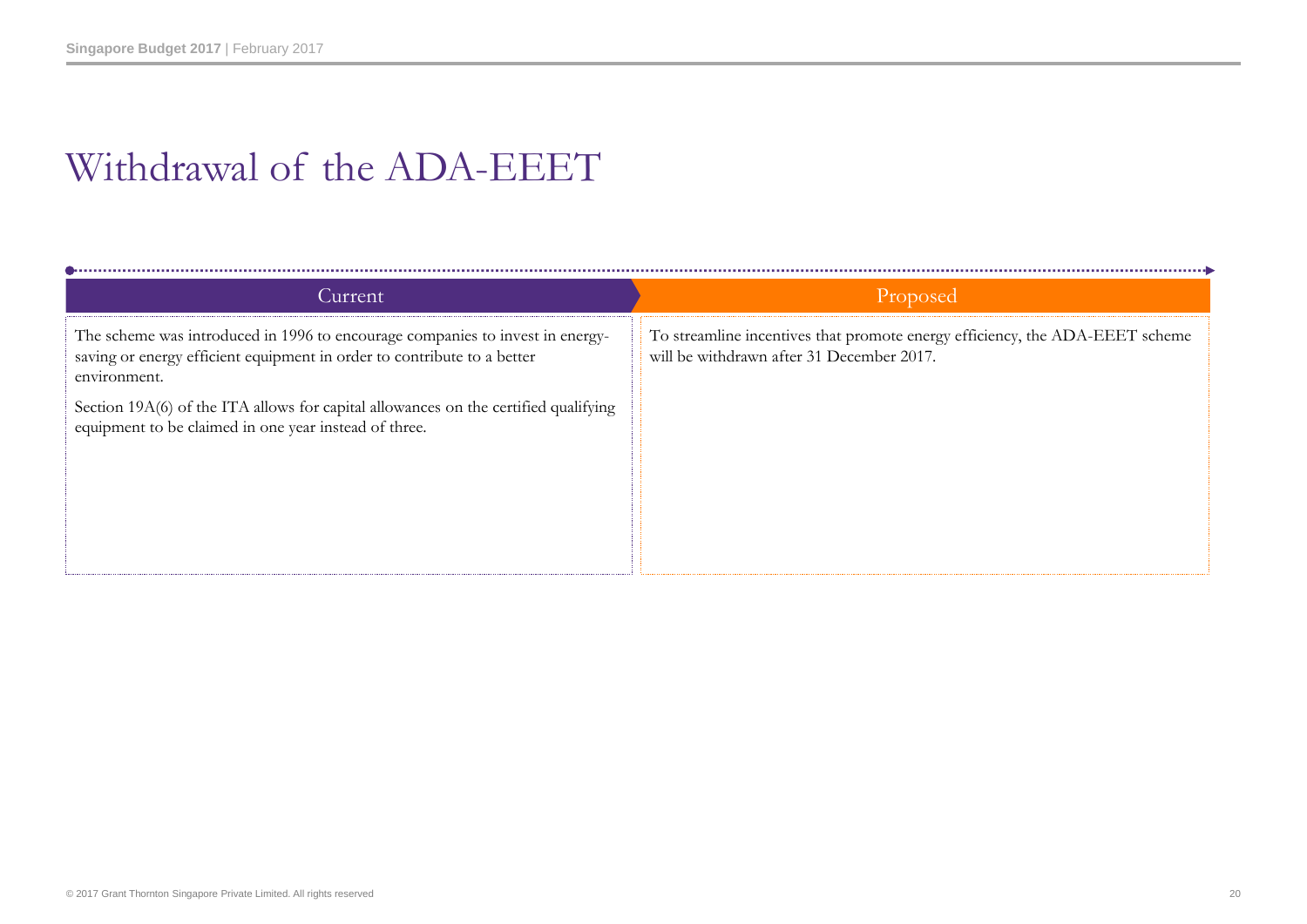### Withdrawal of the ADA-EEET

| Current                                                                                                                                                                  | Proposed                                                                                                                  |
|--------------------------------------------------------------------------------------------------------------------------------------------------------------------------|---------------------------------------------------------------------------------------------------------------------------|
| The scheme was introduced in 1996 to encourage companies to invest in energy-<br>saving or energy efficient equipment in order to contribute to a better<br>environment. | To streamline incentives that promote energy efficiency, the ADA-EEET scheme<br>will be withdrawn after 31 December 2017. |
| Section 19A(6) of the ITA allows for capital allowances on the certified qualifying<br>equipment to be claimed in one year instead of three.                             |                                                                                                                           |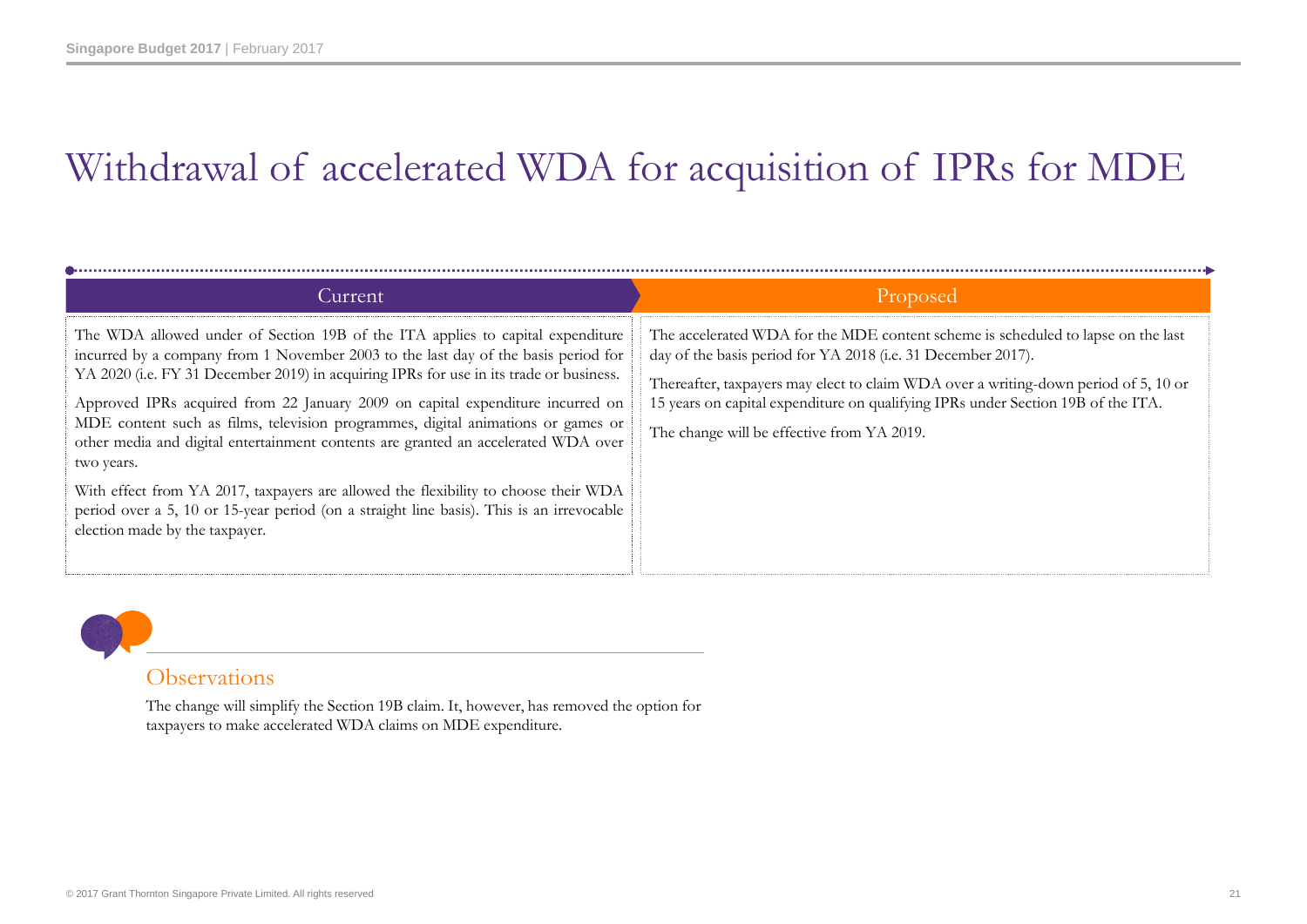### Withdrawal of accelerated WDA for acquisition of IPRs for MDE

| Current                                                                                                                                                                                                                                                                                                                                                                                                                                                                                                                                                                                                                                                                                                                                                       | Proposed                                                                                                                                                                                                                                                                                                                                                                  |
|---------------------------------------------------------------------------------------------------------------------------------------------------------------------------------------------------------------------------------------------------------------------------------------------------------------------------------------------------------------------------------------------------------------------------------------------------------------------------------------------------------------------------------------------------------------------------------------------------------------------------------------------------------------------------------------------------------------------------------------------------------------|---------------------------------------------------------------------------------------------------------------------------------------------------------------------------------------------------------------------------------------------------------------------------------------------------------------------------------------------------------------------------|
| The WDA allowed under of Section 19B of the ITA applies to capital expenditure<br>incurred by a company from 1 November 2003 to the last day of the basis period for<br>YA 2020 (i.e. FY 31 December 2019) in acquiring IPRs for use in its trade or business.<br>Approved IPRs acquired from 22 January 2009 on capital expenditure incurred on<br>MDE content such as films, television programmes, digital animations or games or<br>other media and digital entertainment contents are granted an accelerated WDA over<br>two years.<br>With effect from YA 2017, taxpayers are allowed the flexibility to choose their WDA<br>period over a 5, 10 or 15-year period (on a straight line basis). This is an irrevocable<br>election made by the taxpayer. | The accelerated WDA for the MDE content scheme is scheduled to lapse on the last<br>day of the basis period for YA 2018 (i.e. 31 December 2017).<br>Thereafter, taxpayers may elect to claim WDA over a writing-down period of 5, 10 or<br>15 years on capital expenditure on qualifying IPRs under Section 19B of the ITA.<br>The change will be effective from YA 2019. |



#### **Observations**

The change will simplify the Section 19B claim. It, however, has removed the option for taxpayers to make accelerated WDA claims on MDE expenditure.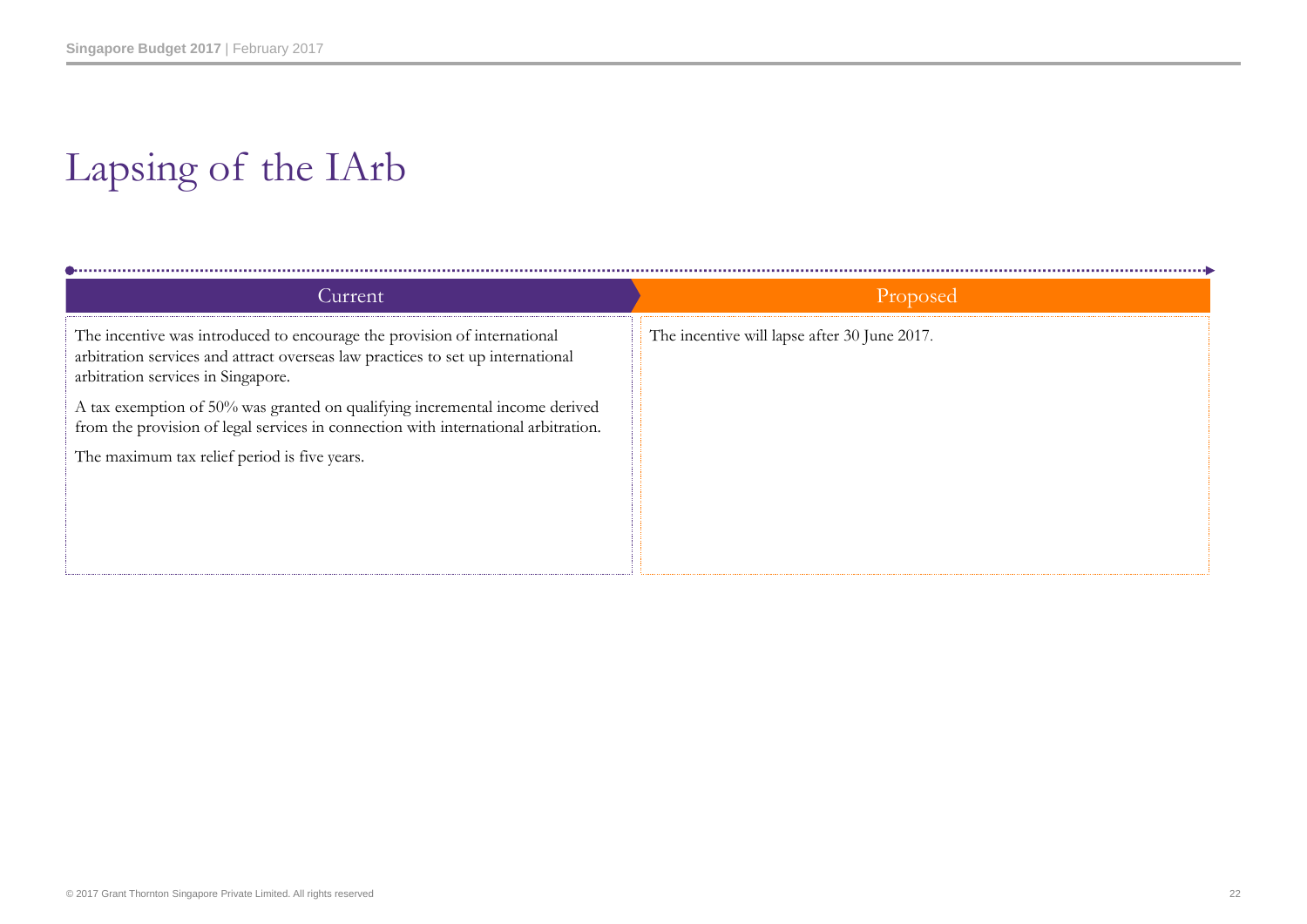### Lapsing of the IArb

| Current                                                                                                                                                                                           | Proposed                                     |
|---------------------------------------------------------------------------------------------------------------------------------------------------------------------------------------------------|----------------------------------------------|
| The incentive was introduced to encourage the provision of international<br>arbitration services and attract overseas law practices to set up international<br>arbitration services in Singapore. | The incentive will lapse after 30 June 2017. |
| A tax exemption of 50% was granted on qualifying incremental income derived<br>from the provision of legal services in connection with international arbitration.                                 |                                              |
| The maximum tax relief period is five years.                                                                                                                                                      |                                              |
|                                                                                                                                                                                                   |                                              |
|                                                                                                                                                                                                   |                                              |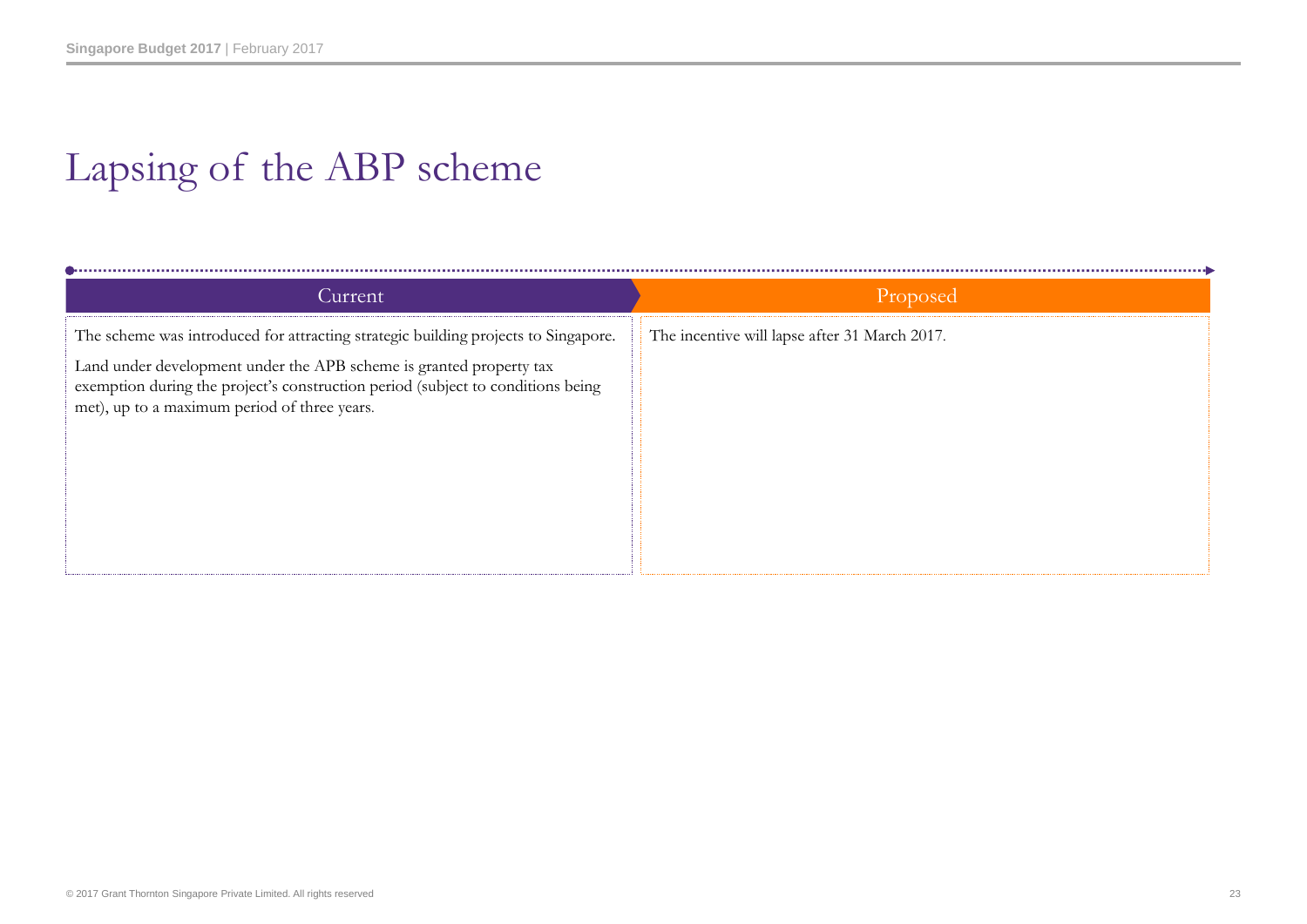### Lapsing of the ABP scheme

| Current                                                                                                                                                                                                                                                                                      | Proposed                                      |
|----------------------------------------------------------------------------------------------------------------------------------------------------------------------------------------------------------------------------------------------------------------------------------------------|-----------------------------------------------|
| The scheme was introduced for attracting strategic building projects to Singapore.<br>Land under development under the APB scheme is granted property tax<br>exemption during the project's construction period (subject to conditions being<br>met), up to a maximum period of three years. | The incentive will lapse after 31 March 2017. |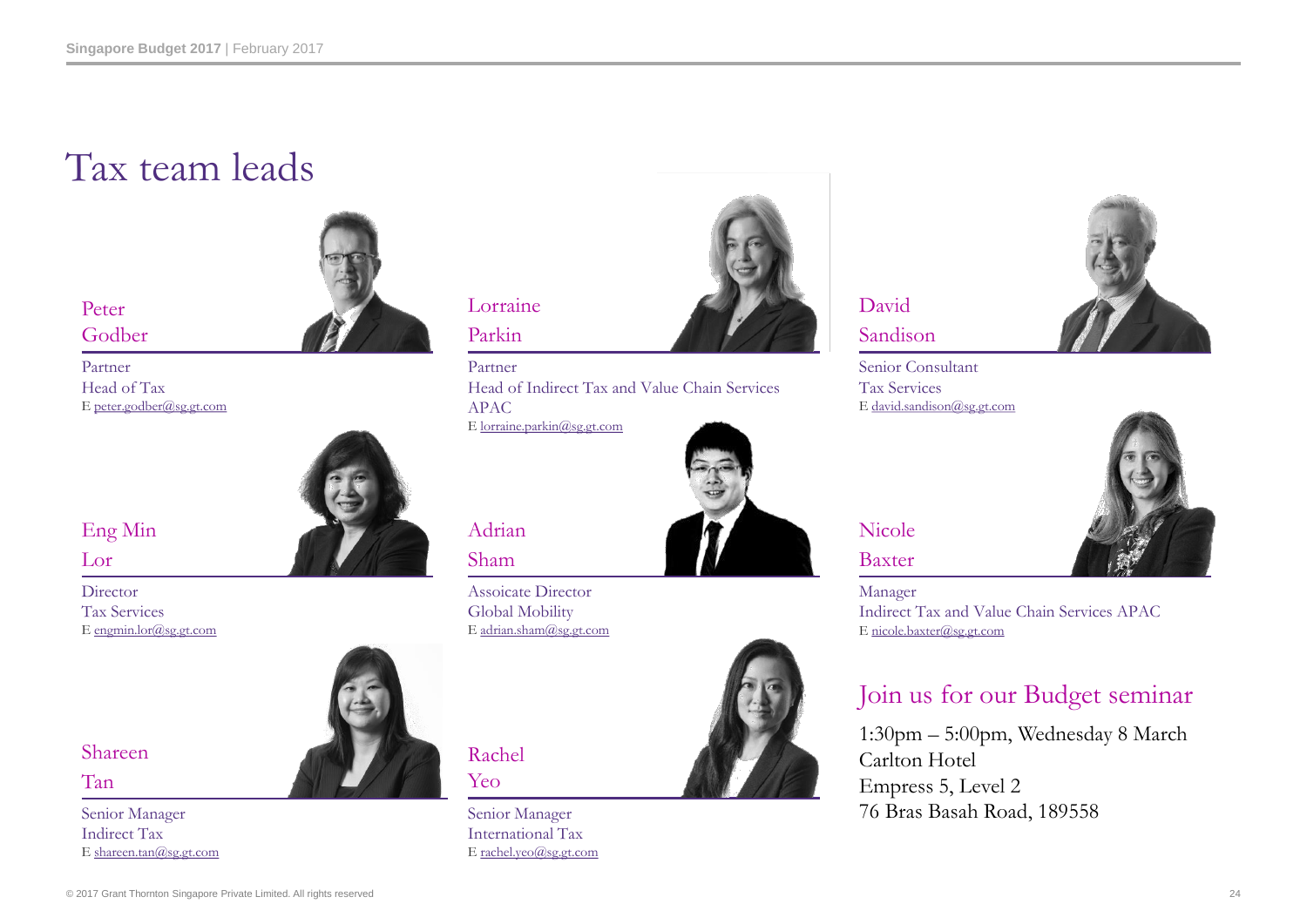### Tax team leads

#### Peter Godber

Partner Head of Tax E [peter.godber@sg.gt.com](mailto:peter.godber@sg.gt.com)



Eng Min Lor

**Director** Tax Services E [engmin.lor@sg.gt.com](mailto:engmin.lor@sg.gt.com)

#### Shareen

#### Tan

Senior Manager Indirect Tax E [shareen.tan@sg.gt.com](mailto:shareen.tan@sg.gt.com)



### Parkin

Lorraine

Head of Indirect Tax and Value Chain Services APAC E [lorraine.parkin@sg.gt.com](mailto:lorraine.parkin@sg.gt.com)



#### Adrian Sham

Assoicate Director Global Mobility E [adrian.sham@sg.gt.com](mailto:adrian.sham@sg.gt.com)



#### Rachel Yeo

Senior Manager International Tax E [rachel.yeo@sg.gt.com](mailto:rachel.yeo@sg.gt.com)



#### David Sandison

Senior Consultant Tax Services E [david.sandison@sg.gt.com](mailto:david.sandison@sg.gt.com)





#### Nicole Baxter

Manager Indirect Tax and Value Chain Services APAC E [nicole.baxter@sg.gt.com](mailto:nicole.baxter@sg.gt.com)

#### Join us for our Budget seminar

1:30pm – 5:00pm, Wednesday 8 March Carlton Hotel Empress 5, Level 2 76 Bras Basah Road, 189558

# Partner

#### © 2017 Grant Thornton Singapore Private Limited. All rights reserved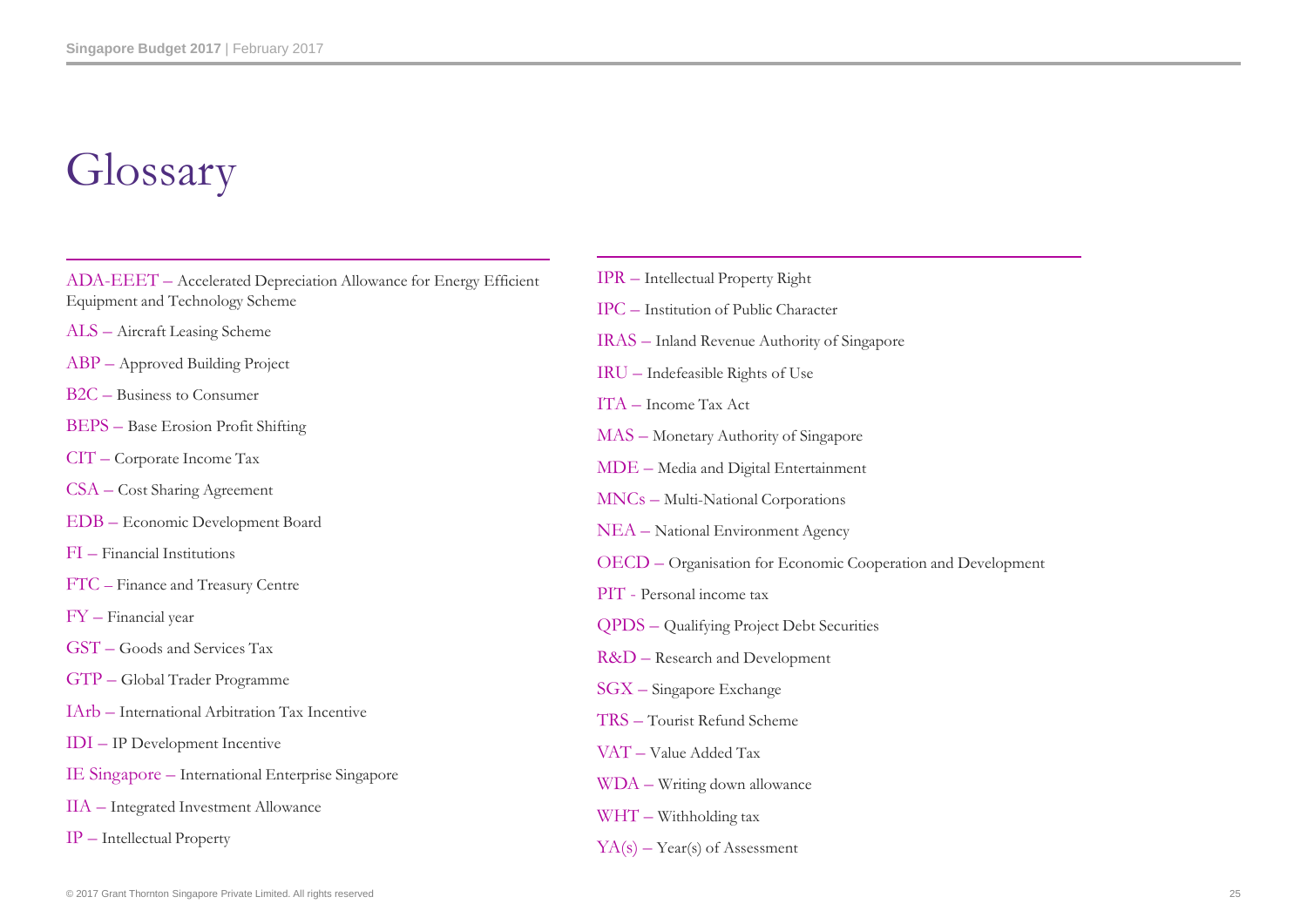## Glossary

| ADA-EEET - Accelerated Depreciation Allowance for Energy Efficient | <b>IPR</b> - Intellectual Property Right                     |
|--------------------------------------------------------------------|--------------------------------------------------------------|
| <b>Equipment and Technology Scheme</b>                             | IPC - Institution of Public Character                        |
| $ALS - Aircraft Leasing Scheme$                                    | IRAS – Inland Revenue Authority of Singapore                 |
| $ABP -$ Approved Building Project                                  | IRU - Indefeasible Rights of Use                             |
| B2C - Business to Consumer                                         | ITA - Income Tax Act                                         |
| BEPS – Base Erosion Profit Shifting                                | MAS – Monetary Authority of Singapore                        |
| $CIT -$ Corporate Income Tax                                       | MDE - Media and Digital Entertainment                        |
| CSA - Cost Sharing Agreement                                       | $MNCs - Multi-National Corporations$                         |
| EDB - Economic Development Board                                   | NEA - National Environment Agency                            |
| FI - Financial Institutions                                        | OECD – Organisation for Economic Cooperation and Development |
| FTC - Finance and Treasury Centre                                  | PIT - Personal income tax                                    |
| $FY$ - Financial year                                              | QPDS - Qualifying Project Debt Securities                    |
| GST - Goods and Services Tax                                       | $R&D$ – Research and Development                             |
| GTP - Global Trader Programme                                      | $SGX - Singapore$ Exchange                                   |
| IArb - International Arbitration Tax Incentive                     | TRS - Tourist Refund Scheme                                  |
| <b>IDI</b> – IP Development Incentive                              | VAT - Value Added Tax                                        |
| IE Singapore – International Enterprise Singapore                  | WDA - Writing down allowance                                 |
| <b>IIA</b> – Integrated Investment Allowance                       | $WHT - Withouting tax$                                       |
| $IP$ – Intellectual Property                                       | $YA(s) - Year(s)$ of Assessment                              |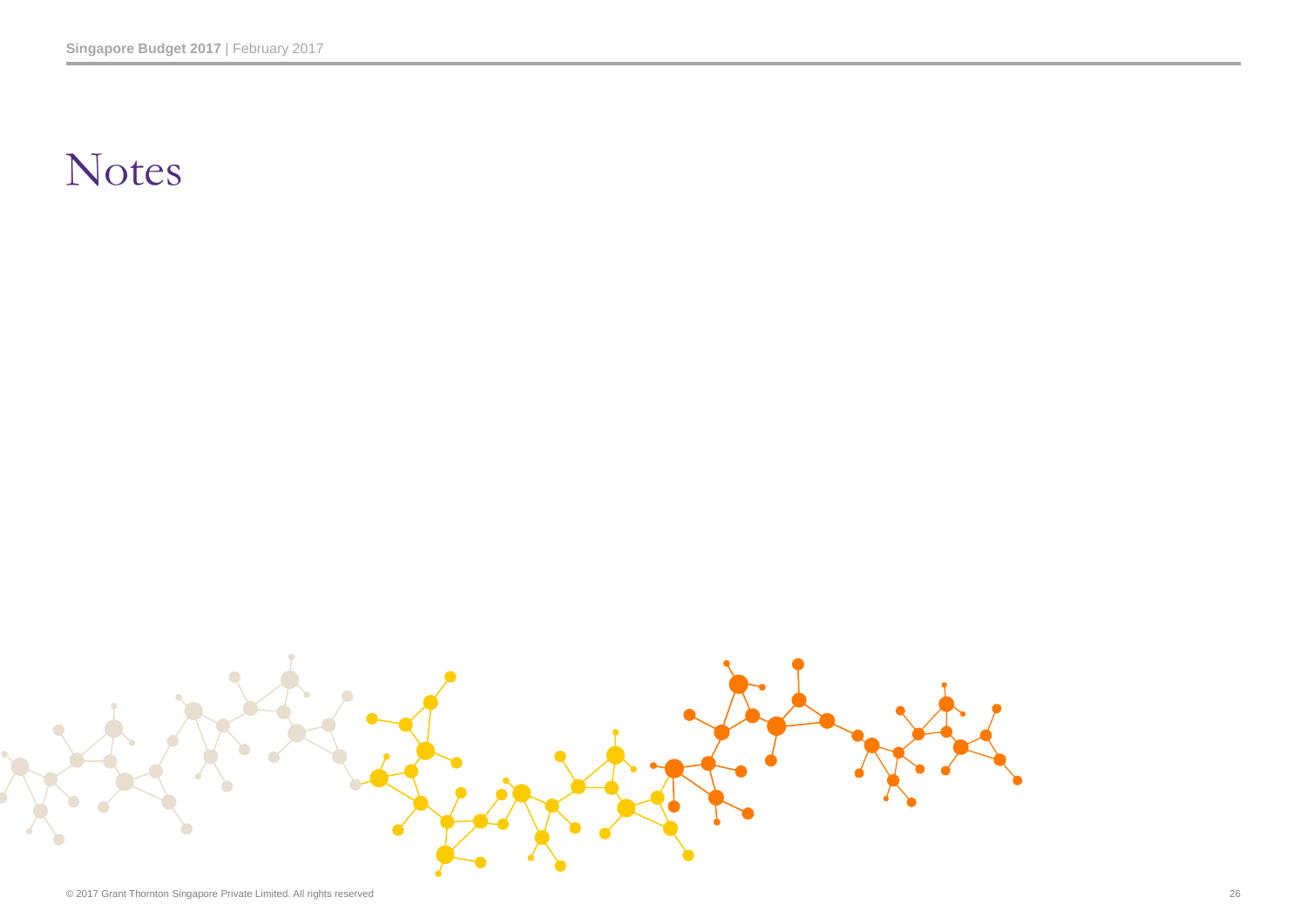### Notes

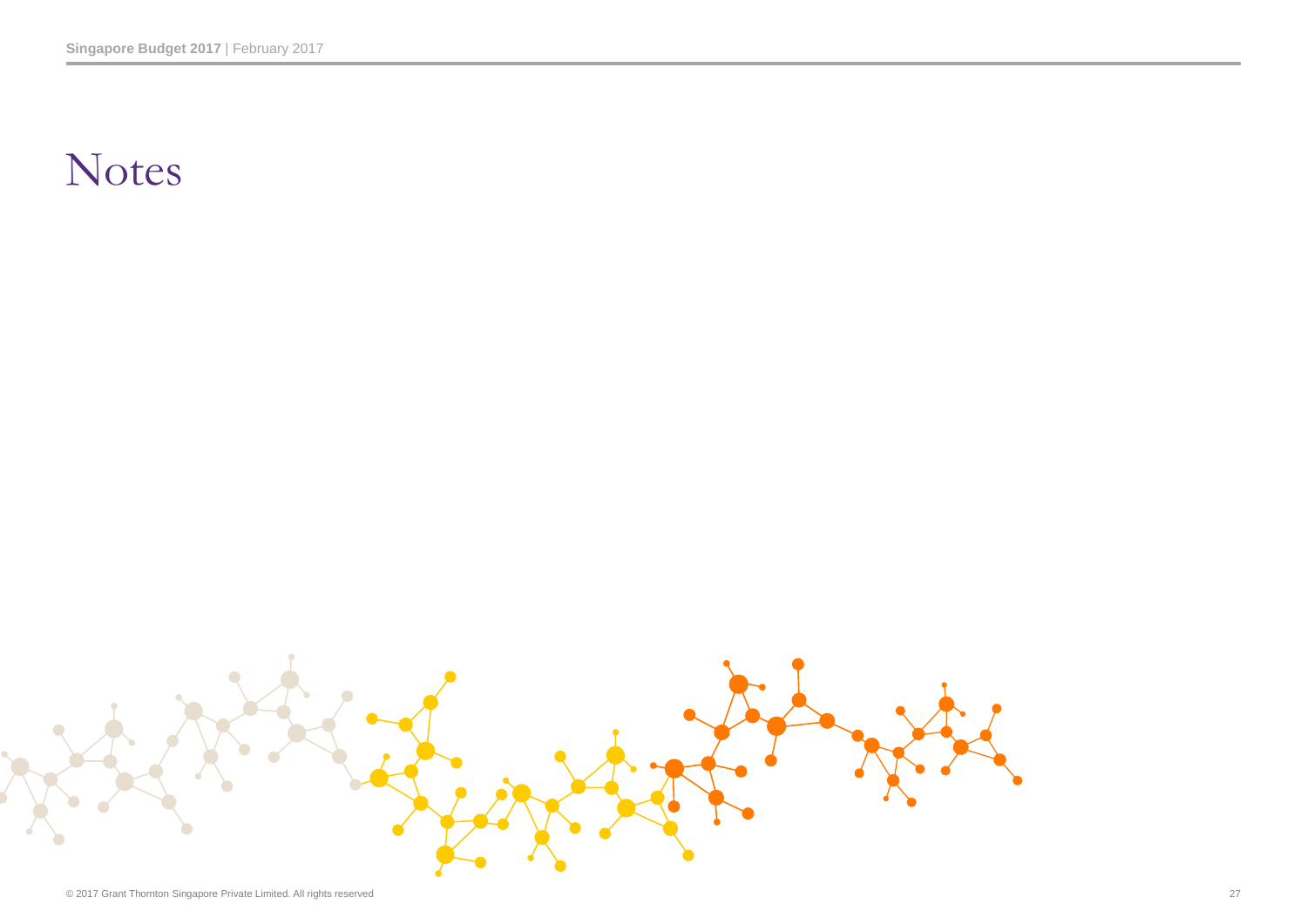### Notes